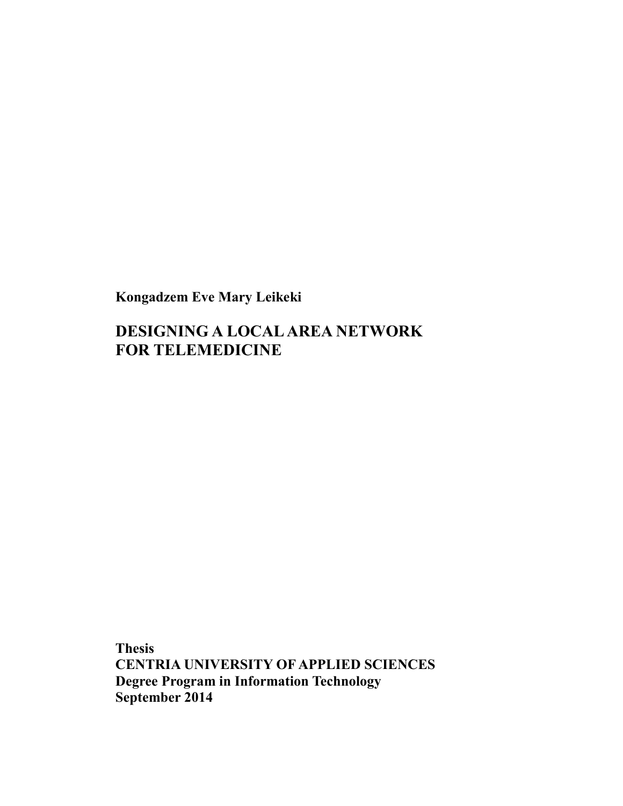**Kongadzem Eve Mary Leikeki**

# **DESIGNING A LOCAL AREA NETWORK FOR TELEMEDICINE**

**Thesis CENTRIA UNIVERSITY OF APPLIED SCIENCES Degree Program in Information Technology September 2014**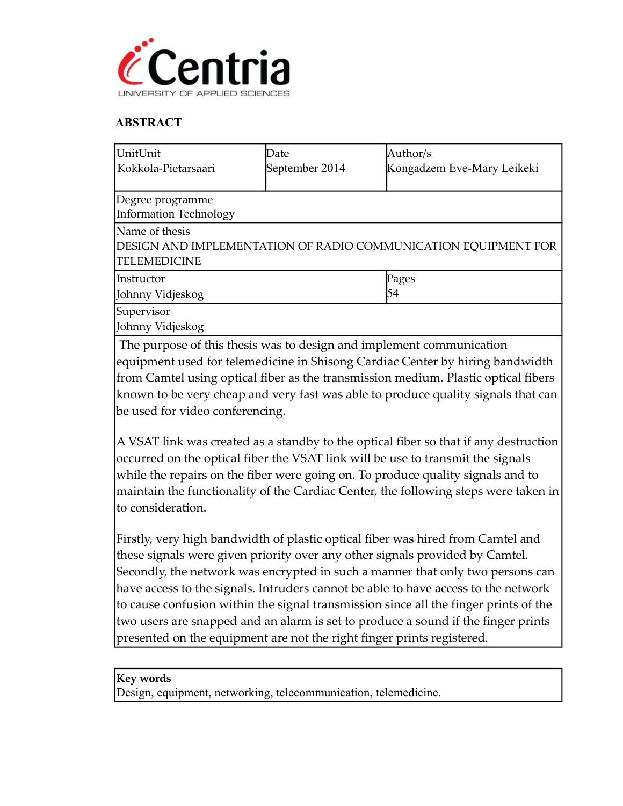

# **ABSTRACT**

| UnitUnit                                                                           | Date           | Author/s                                                                             |  |  |  |  |
|------------------------------------------------------------------------------------|----------------|--------------------------------------------------------------------------------------|--|--|--|--|
| Kokkola-Pietarsaari                                                                | September 2014 | Kongadzem Eve-Mary Leikeki                                                           |  |  |  |  |
|                                                                                    |                |                                                                                      |  |  |  |  |
| Degree programme                                                                   |                |                                                                                      |  |  |  |  |
| <b>Information Technology</b>                                                      |                |                                                                                      |  |  |  |  |
| Name of thesis                                                                     |                |                                                                                      |  |  |  |  |
| DESIGN AND IMPLEMENTATION OF RADIO COMMUNICATION EQUIPMENT FOR                     |                |                                                                                      |  |  |  |  |
| <b>TELEMEDICINE</b>                                                                |                |                                                                                      |  |  |  |  |
| Instructor                                                                         |                | Pages                                                                                |  |  |  |  |
| Johnny Vidjeskog                                                                   |                | 54                                                                                   |  |  |  |  |
| Supervisor                                                                         |                |                                                                                      |  |  |  |  |
| Johnny Vidjeskog                                                                   |                |                                                                                      |  |  |  |  |
| The purpose of this thesis was to design and implement communication               |                |                                                                                      |  |  |  |  |
| equipment used for telemedicine in Shisong Cardiac Center by hiring bandwidth      |                |                                                                                      |  |  |  |  |
| from Camtel using optical fiber as the transmission medium. Plastic optical fibers |                |                                                                                      |  |  |  |  |
| known to be very cheap and very fast was able to produce quality signals that can  |                |                                                                                      |  |  |  |  |
| be used for video conferencing.                                                    |                |                                                                                      |  |  |  |  |
|                                                                                    |                |                                                                                      |  |  |  |  |
|                                                                                    |                | A VSAT link was created as a standby to the optical fiber so that if any destruction |  |  |  |  |

occurred on the optical fiber the VSAT link will be use to transmit the signals while the repairs on the fiber were going on. To produce quality signals and to maintain the functionality of the Cardiac Center, the following steps were taken in to consideration.

Firstly, very high bandwidth of plastic optical fiber was hired from Camtel and these signals were given priority over any other signals provided by Camtel. Secondly, the network was encrypted in such a manner that only two persons can have access to the signals. Intruders cannot be able to have access to the network to cause confusion within the signal transmission since all the finger prints of the two users are snapped and an alarm is set to produce a sound if the finger prints presented on the equipment are not the right finger prints registered.

### **Key words**

Design, equipment, networking, telecommunication, telemedicine.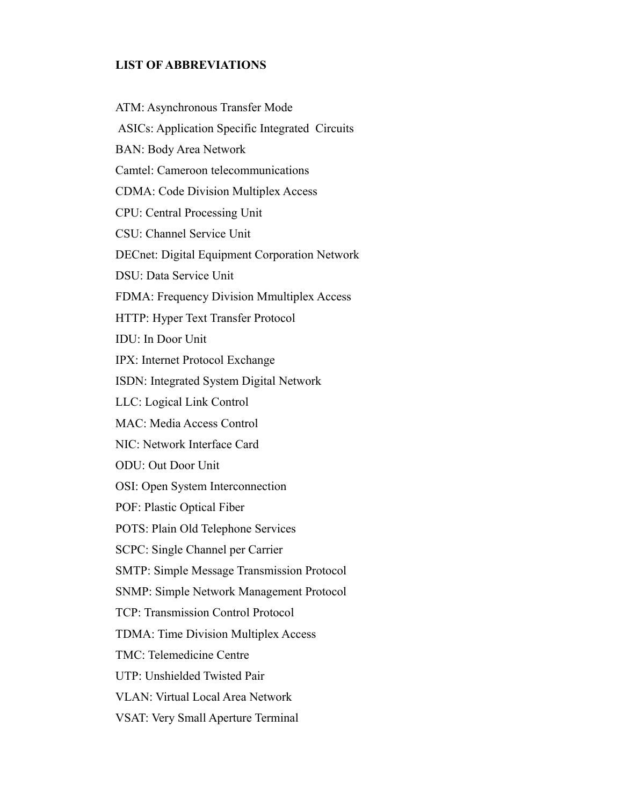# **LIST OF ABBREVIATIONS**

ATM: Asynchronous Transfer Mode ASICs: Application Specific Integrated Circuits BAN: Body Area Network Camtel: Cameroon telecommunications CDMA: Code Division Multiplex Access CPU: Central Processing Unit CSU: Channel Service Unit DECnet: Digital Equipment Corporation Network DSU: Data Service Unit FDMA: Frequency Division Mmultiplex Access HTTP: Hyper Text Transfer Protocol IDU: In Door Unit IPX: Internet Protocol Exchange ISDN: Integrated System Digital Network LLC: Logical Link Control MAC: Media Access Control NIC: Network Interface Card ODU: Out Door Unit OSI: Open System Interconnection POF: Plastic Optical Fiber POTS: Plain Old Telephone Services SCPC: Single Channel per Carrier SMTP: Simple Message Transmission Protocol SNMP: Simple Network Management Protocol TCP: Transmission Control Protocol TDMA: Time Division Multiplex Access TMC: Telemedicine Centre UTP: Unshielded Twisted Pair VLAN: Virtual Local Area Network VSAT: Very Small Aperture Terminal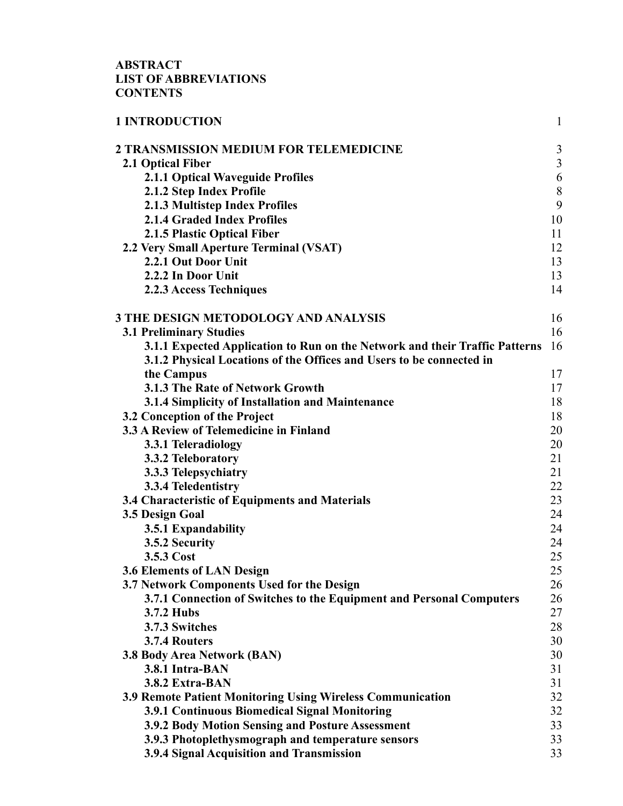# **ABSTRACT LIST OF ABBREVIATIONS CONTENTS**

| <b>1 INTRODUCTION</b>                                                       | $\mathbf{1}$            |
|-----------------------------------------------------------------------------|-------------------------|
| <b>2 TRANSMISSION MEDIUM FOR TELEMEDICINE</b>                               | 3                       |
| 2.1 Optical Fiber                                                           | $\overline{\mathbf{3}}$ |
| 2.1.1 Optical Waveguide Profiles                                            | 6                       |
| 2.1.2 Step Index Profile                                                    | 8                       |
| 2.1.3 Multistep Index Profiles                                              | 9                       |
| 2.1.4 Graded Index Profiles                                                 | 10                      |
| 2.1.5 Plastic Optical Fiber                                                 | 11                      |
| 2.2 Very Small Aperture Terminal (VSAT)                                     | 12                      |
| 2.2.1 Out Door Unit                                                         | 13                      |
| 2.2.2 In Door Unit                                                          | 13                      |
| 2.2.3 Access Techniques                                                     | 14                      |
| <b>3 THE DESIGN METODOLOGY AND ANALYSIS</b>                                 | 16                      |
| <b>3.1 Preliminary Studies</b>                                              | 16                      |
| 3.1.1 Expected Application to Run on the Network and their Traffic Patterns | 16                      |
| 3.1.2 Physical Locations of the Offices and Users to be connected in        |                         |
| the Campus                                                                  | 17                      |
| 3.1.3 The Rate of Network Growth                                            | 17                      |
| 3.1.4 Simplicity of Installation and Maintenance                            | 18                      |
| 3.2 Conception of the Project                                               | 18                      |
| 3.3 A Review of Telemedicine in Finland                                     | 20                      |
| 3.3.1 Teleradiology                                                         | 20                      |
| 3.3.2 Teleboratory                                                          | 21                      |
| 3.3.3 Telepsychiatry                                                        | 21                      |
| 3.3.4 Teledentistry                                                         | 22                      |
| 3.4 Characteristic of Equipments and Materials                              | 23                      |
| 3.5 Design Goal                                                             | 24                      |
| 3.5.1 Expandability                                                         | 24                      |
| 3.5.2 Security                                                              | 24                      |
| 3.5.3 Cost                                                                  | 25                      |
| 3.6 Elements of LAN Design                                                  | 25                      |
| 3.7 Network Components Used for the Design                                  | 26                      |
| 3.7.1 Connection of Switches to the Equipment and Personal Computers        | 26                      |
| <b>3.7.2 Hubs</b>                                                           | 27                      |
| 3.7.3 Switches                                                              | 28                      |
| 3.7.4 Routers                                                               | 30                      |
| 3.8 Body Area Network (BAN)                                                 | 30                      |
| 3.8.1 Intra-BAN                                                             | 31                      |
| 3.8.2 Extra-BAN                                                             | 31                      |
| <b>3.9 Remote Patient Monitoring Using Wireless Communication</b>           | 32                      |
| <b>3.9.1 Continuous Biomedical Signal Monitoring</b>                        | 32                      |
| <b>3.9.2 Body Motion Sensing and Posture Assessment</b>                     | 33                      |
| 3.9.3 Photoplethysmograph and temperature sensors                           | 33                      |
| 3.9.4 Signal Acquisition and Transmission                                   | 33                      |
|                                                                             |                         |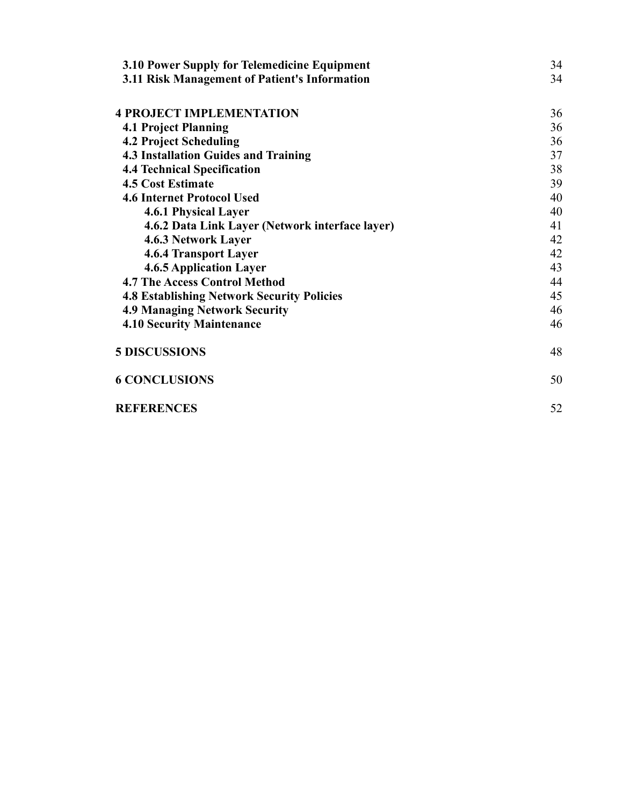| 3.10 Power Supply for Telemedicine Equipment      | 34 |  |
|---------------------------------------------------|----|--|
| 3.11 Risk Management of Patient's Information     | 34 |  |
| <b>4 PROJECT IMPLEMENTATION</b>                   | 36 |  |
| <b>4.1 Project Planning</b>                       | 36 |  |
| <b>4.2 Project Scheduling</b>                     | 36 |  |
| <b>4.3 Installation Guides and Training</b>       | 37 |  |
| <b>4.4 Technical Specification</b>                | 38 |  |
| <b>4.5 Cost Estimate</b>                          | 39 |  |
| <b>4.6 Internet Protocol Used</b>                 | 40 |  |
| 4.6.1 Physical Layer                              | 40 |  |
| 4.6.2 Data Link Layer (Network interface layer)   | 41 |  |
| 4.6.3 Network Layer                               | 42 |  |
| <b>4.6.4 Transport Layer</b>                      | 42 |  |
| <b>4.6.5 Application Layer</b>                    | 43 |  |
| <b>4.7 The Access Control Method</b>              | 44 |  |
| <b>4.8 Establishing Network Security Policies</b> | 45 |  |
| <b>4.9 Managing Network Security</b>              | 46 |  |
| <b>4.10 Security Maintenance</b>                  | 46 |  |
| <b>5 DISCUSSIONS</b>                              | 48 |  |
| <b>6 CONCLUSIONS</b>                              | 50 |  |
| <b>REFERENCES</b>                                 | 52 |  |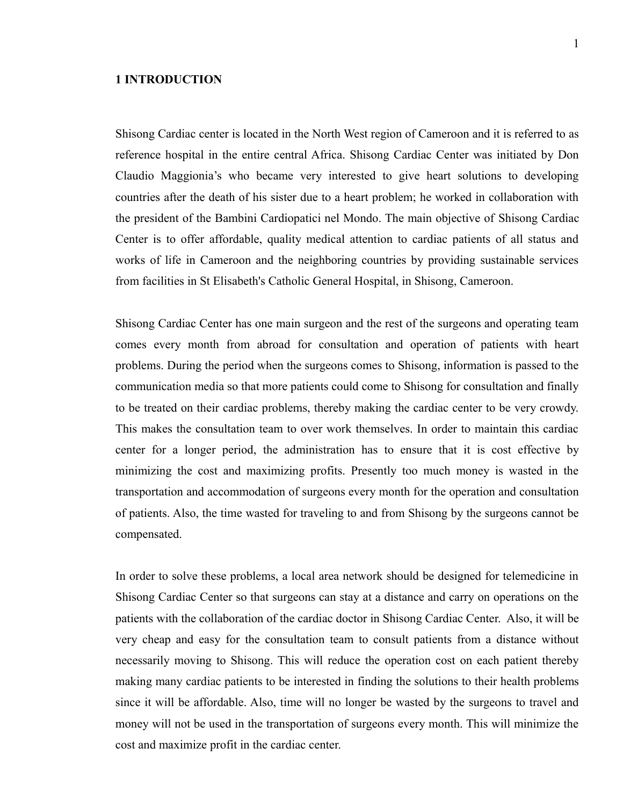### **1 INTRODUCTION**

Shisong Cardiac center is located in the North West region of Cameroon and it is referred to as reference hospital in the entire central Africa. Shisong Cardiac Center was initiated by Don Claudio Maggionia's who became very interested to give heart solutions to developing countries after the death of his sister due to a heart problem; he worked in collaboration with the president of the Bambini Cardiopatici nel Mondo. The main objective of Shisong Cardiac Center is to offer affordable, quality medical attention to cardiac patients of all status and works of life in Cameroon and the neighboring countries by providing sustainable services from facilities in St Elisabeth's Catholic General Hospital, in Shisong, Cameroon.

Shisong Cardiac Center has one main surgeon and the rest of the surgeons and operating team comes every month from abroad for consultation and operation of patients with heart problems. During the period when the surgeons comes to Shisong, information is passed to the communication media so that more patients could come to Shisong for consultation and finally to be treated on their cardiac problems, thereby making the cardiac center to be very crowdy. This makes the consultation team to over work themselves. In order to maintain this cardiac center for a longer period, the administration has to ensure that it is cost effective by minimizing the cost and maximizing profits. Presently too much money is wasted in the transportation and accommodation of surgeons every month for the operation and consultation of patients. Also, the time wasted for traveling to and from Shisong by the surgeons cannot be compensated.

In order to solve these problems, a local area network should be designed for telemedicine in Shisong Cardiac Center so that surgeons can stay at a distance and carry on operations on the patients with the collaboration of the cardiac doctor in Shisong Cardiac Center. Also, it will be very cheap and easy for the consultation team to consult patients from a distance without necessarily moving to Shisong. This will reduce the operation cost on each patient thereby making many cardiac patients to be interested in finding the solutions to their health problems since it will be affordable. Also, time will no longer be wasted by the surgeons to travel and money will not be used in the transportation of surgeons every month. This will minimize the cost and maximize profit in the cardiac center.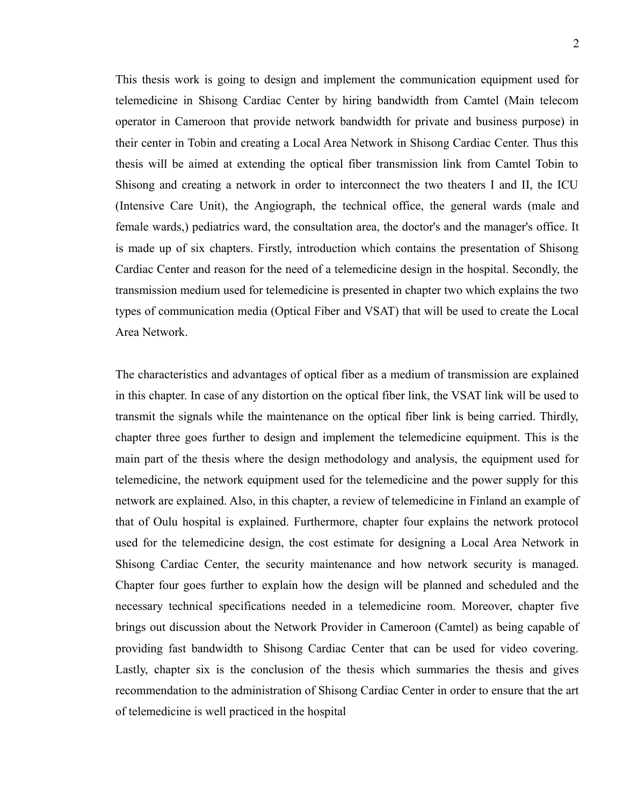This thesis work is going to design and implement the communication equipment used for telemedicine in Shisong Cardiac Center by hiring bandwidth from Camtel (Main telecom operator in Cameroon that provide network bandwidth for private and business purpose) in their center in Tobin and creating a Local Area Network in Shisong Cardiac Center. Thus this thesis will be aimed at extending the optical fiber transmission link from Camtel Tobin to Shisong and creating a network in order to interconnect the two theaters I and II, the ICU (Intensive Care Unit), the Angiograph, the technical office, the general wards (male and female wards,) pediatrics ward, the consultation area, the doctor's and the manager's office. It is made up of six chapters. Firstly, introduction which contains the presentation of Shisong Cardiac Center and reason for the need of a telemedicine design in the hospital. Secondly, the transmission medium used for telemedicine is presented in chapter two which explains the two types of communication media (Optical Fiber and VSAT) that will be used to create the Local Area Network.

The characteristics and advantages of optical fiber as a medium of transmission are explained in this chapter. In case of any distortion on the optical fiber link, the VSAT link will be used to transmit the signals while the maintenance on the optical fiber link is being carried. Thirdly, chapter three goes further to design and implement the telemedicine equipment. This is the main part of the thesis where the design methodology and analysis, the equipment used for telemedicine, the network equipment used for the telemedicine and the power supply for this network are explained. Also, in this chapter, a review of telemedicine in Finland an example of that of Oulu hospital is explained. Furthermore, chapter four explains the network protocol used for the telemedicine design, the cost estimate for designing a Local Area Network in Shisong Cardiac Center, the security maintenance and how network security is managed. Chapter four goes further to explain how the design will be planned and scheduled and the necessary technical specifications needed in a telemedicine room. Moreover, chapter five brings out discussion about the Network Provider in Cameroon (Camtel) as being capable of providing fast bandwidth to Shisong Cardiac Center that can be used for video covering. Lastly, chapter six is the conclusion of the thesis which summaries the thesis and gives recommendation to the administration of Shisong Cardiac Center in order to ensure that the art of telemedicine is well practiced in the hospital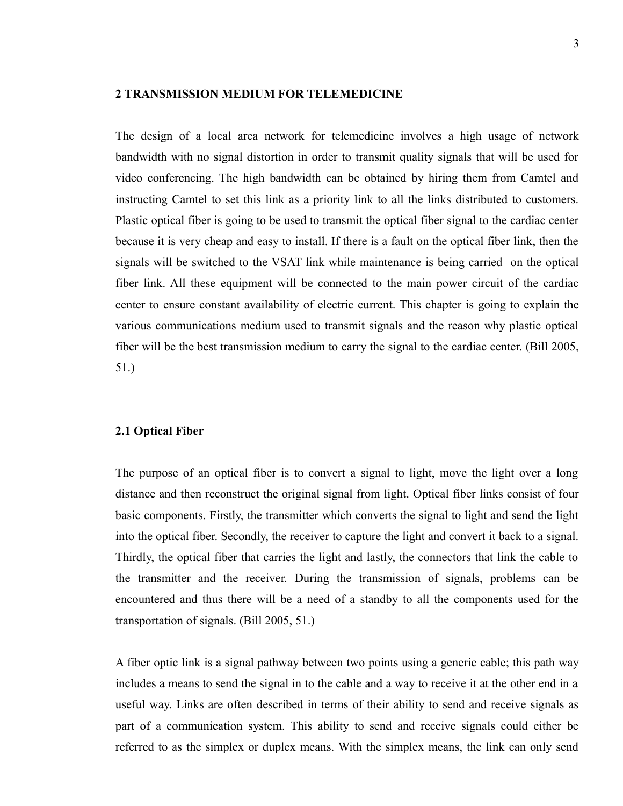#### **2 TRANSMISSION MEDIUM FOR TELEMEDICINE**

The design of a local area network for telemedicine involves a high usage of network bandwidth with no signal distortion in order to transmit quality signals that will be used for video conferencing. The high bandwidth can be obtained by hiring them from Camtel and instructing Camtel to set this link as a priority link to all the links distributed to customers. Plastic optical fiber is going to be used to transmit the optical fiber signal to the cardiac center because it is very cheap and easy to install. If there is a fault on the optical fiber link, then the signals will be switched to the VSAT link while maintenance is being carried on the optical fiber link. All these equipment will be connected to the main power circuit of the cardiac center to ensure constant availability of electric current. This chapter is going to explain the various communications medium used to transmit signals and the reason why plastic optical fiber will be the best transmission medium to carry the signal to the cardiac center. (Bill 2005, 51.)

### **2.1 Optical Fiber**

The purpose of an optical fiber is to convert a signal to light, move the light over a long distance and then reconstruct the original signal from light. Optical fiber links consist of four basic components. Firstly, the transmitter which converts the signal to light and send the light into the optical fiber. Secondly, the receiver to capture the light and convert it back to a signal. Thirdly, the optical fiber that carries the light and lastly, the connectors that link the cable to the transmitter and the receiver. During the transmission of signals, problems can be encountered and thus there will be a need of a standby to all the components used for the transportation of signals. (Bill 2005, 51.)

A fiber optic link is a signal pathway between two points using a generic cable; this path way includes a means to send the signal in to the cable and a way to receive it at the other end in a useful way. Links are often described in terms of their ability to send and receive signals as part of a communication system. This ability to send and receive signals could either be referred to as the simplex or duplex means. With the simplex means, the link can only send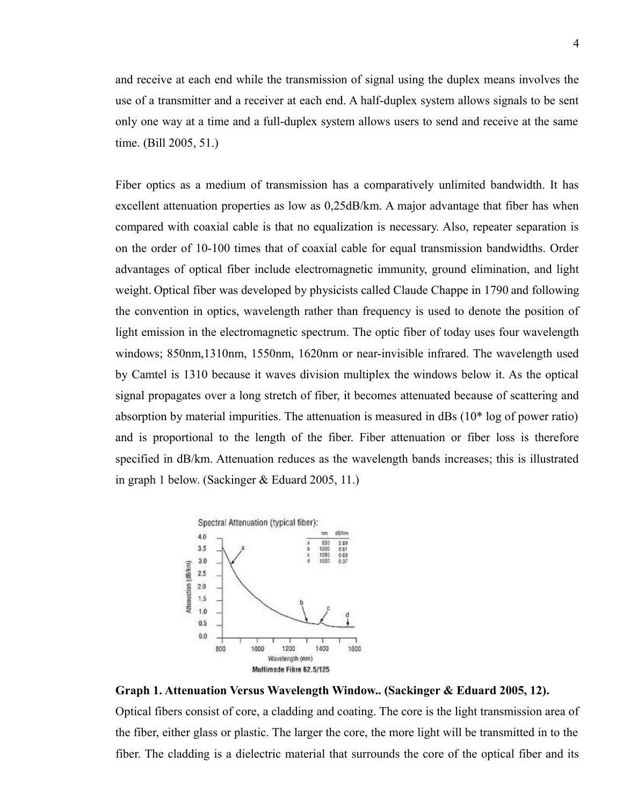and receive at each end while the transmission of signal using the duplex means involves the use of a transmitter and a receiver at each end. A half-duplex system allows signals to be sent only one way at a time and a full-duplex system allows users to send and receive at the same time. (Bill 2005, 51.)

Fiber optics as a medium of transmission has a comparatively unlimited bandwidth. It has excellent attenuation properties as low as 0,25dB/km. A major advantage that fiber has when compared with coaxial cable is that no equalization is necessary. Also, repeater separation is on the order of 10-100 times that of coaxial cable for equal transmission bandwidths. Order advantages of optical fiber include electromagnetic immunity, ground elimination, and light weight. Optical fiber was developed by physicists called Claude Chappe in 1790 and following the convention in optics, wavelength rather than frequency is used to denote the position of light emission in the electromagnetic spectrum. The optic fiber of today uses four wavelength windows; 850nm,1310nm, 1550nm, 1620nm or near-invisible infrared. The wavelength used by Camtel is 1310 because it waves division multiplex the windows below it. As the optical signal propagates over a long stretch of fiber, it becomes attenuated because of scattering and absorption by material impurities. The attenuation is measured in dBs (10\* log of power ratio) and is proportional to the length of the fiber. Fiber attenuation or fiber loss is therefore specified in dB/km. Attenuation reduces as the wavelength bands increases; this is illustrated in graph 1 below. (Sackinger & Eduard 2005, 11.)



**Graph 1. Attenuation Versus Wavelength Window.. (Sackinger & Eduard 2005, 12).**

Optical fibers consist of core, a cladding and coating. The core is the light transmission area of the fiber, either glass or plastic. The larger the core, the more light will be transmitted in to the fiber. The cladding is a dielectric material that surrounds the core of the optical fiber and its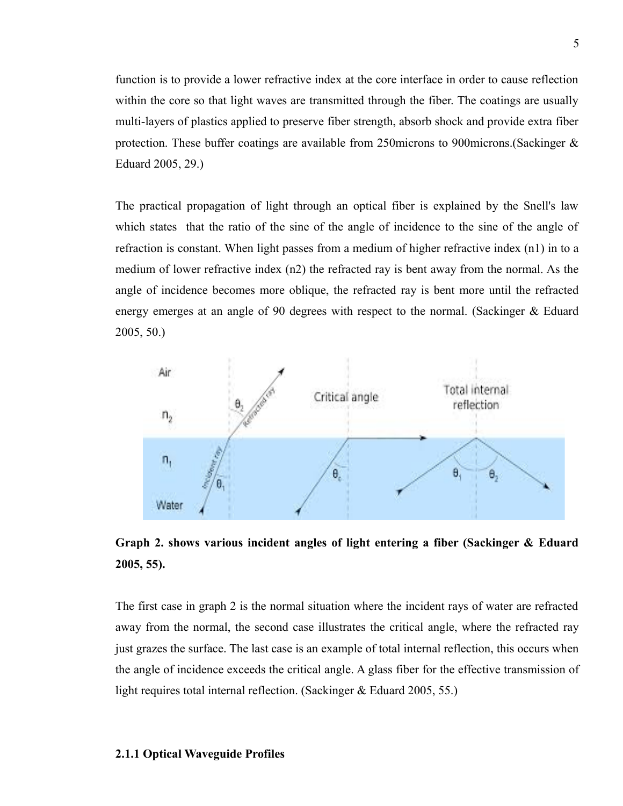function is to provide a lower refractive index at the core interface in order to cause reflection within the core so that light waves are transmitted through the fiber. The coatings are usually multi-layers of plastics applied to preserve fiber strength, absorb shock and provide extra fiber protection. These buffer coatings are available from 250microns to 900microns.(Sackinger & Eduard 2005, 29.)

The practical propagation of light through an optical fiber is explained by the Snell's law which states that the ratio of the sine of the angle of incidence to the sine of the angle of refraction is constant. When light passes from a medium of higher refractive index (n1) in to a medium of lower refractive index (n2) the refracted ray is bent away from the normal. As the angle of incidence becomes more oblique, the refracted ray is bent more until the refracted energy emerges at an angle of 90 degrees with respect to the normal. (Sackinger & Eduard 2005, 50.)



**Graph 2. shows various incident angles of light entering a fiber (Sackinger & Eduard 2005, 55).**

The first case in graph 2 is the normal situation where the incident rays of water are refracted away from the normal, the second case illustrates the critical angle, where the refracted ray just grazes the surface. The last case is an example of total internal reflection, this occurs when the angle of incidence exceeds the critical angle. A glass fiber for the effective transmission of light requires total internal reflection. (Sackinger & Eduard 2005, 55.)

#### **2.1.1 Optical Waveguide Profiles**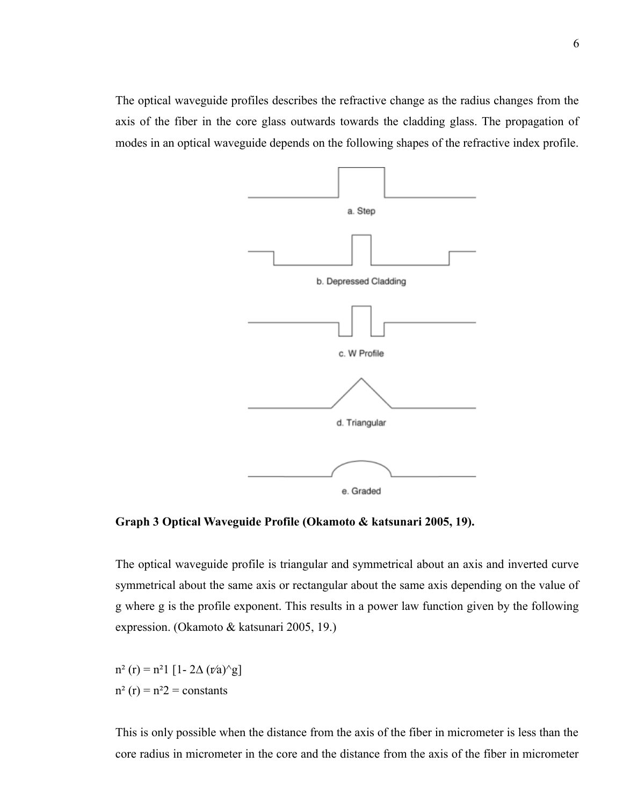The optical waveguide profiles describes the refractive change as the radius changes from the axis of the fiber in the core glass outwards towards the cladding glass. The propagation of modes in an optical waveguide depends on the following shapes of the refractive index profile.



**Graph 3 Optical Waveguide Profile (Okamoto & katsunari 2005, 19).**

The optical waveguide profile is triangular and symmetrical about an axis and inverted curve symmetrical about the same axis or rectangular about the same axis depending on the value of g where g is the profile exponent. This results in a power law function given by the following expression. (Okamoto & katsunari 2005, 19.)

$$
n2 (r) = n21 [1 - 2\Delta (r/a)2g]
$$
  

$$
n2 (r) = n22 = constants
$$

This is only possible when the distance from the axis of the fiber in micrometer is less than the core radius in micrometer in the core and the distance from the axis of the fiber in micrometer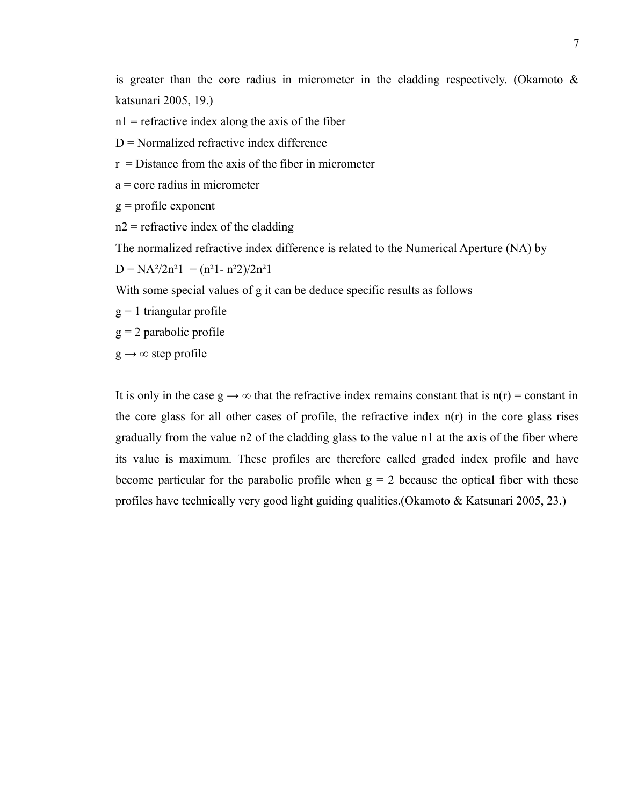is greater than the core radius in micrometer in the cladding respectively. (Okamoto  $\&$ katsunari 2005, 19.)

 $nl$  = refractive index along the axis of the fiber

 $D =$  Normalized refractive index difference

 $r =$  Distance from the axis of the fiber in micrometer

a = core radius in micrometer

 $g =$  profile exponent

 $n2$  = refractive index of the cladding

The normalized refractive index difference is related to the Numerical Aperture (NA) by

 $D = NA^2/2n^21 = (n^21 - n^22)/2n^21$ 

With some special values of g it can be deduce specific results as follows

 $g = 1$  triangular profile

 $g = 2$  parabolic profile

 $g \rightarrow \infty$  step profile

It is only in the case  $g \rightarrow \infty$  that the refractive index remains constant that is  $n(r) = constant$  in the core glass for all other cases of profile, the refractive index n(r) in the core glass rises gradually from the value n2 of the cladding glass to the value n1 at the axis of the fiber where its value is maximum. These profiles are therefore called graded index profile and have become particular for the parabolic profile when  $g = 2$  because the optical fiber with these profiles have technically very good light guiding qualities.(Okamoto & Katsunari 2005, 23.)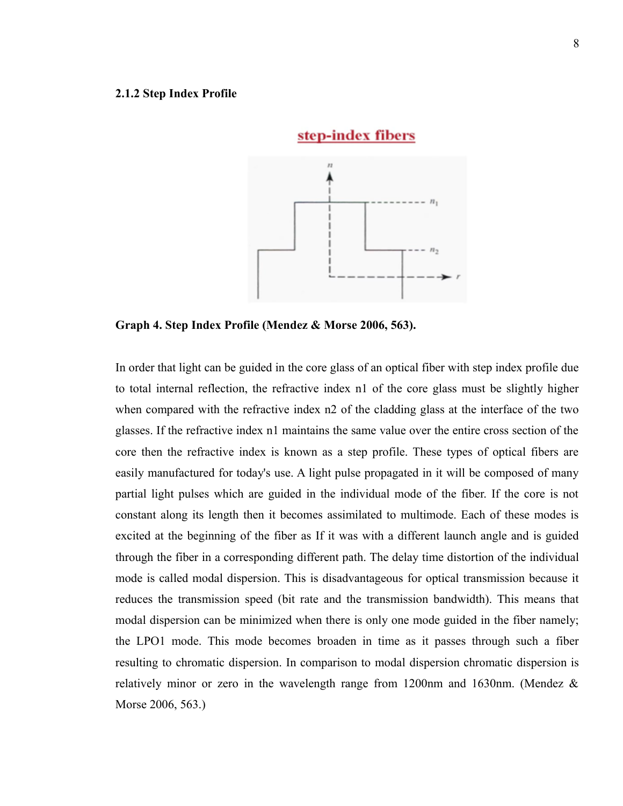#### **2.1.2 Step Index Profile**

## step-index fibers



**Graph 4. Step Index Profile (Mendez & Morse 2006, 563).**

In order that light can be guided in the core glass of an optical fiber with step index profile due to total internal reflection, the refractive index n1 of the core glass must be slightly higher when compared with the refractive index n2 of the cladding glass at the interface of the two glasses. If the refractive index n1 maintains the same value over the entire cross section of the core then the refractive index is known as a step profile. These types of optical fibers are easily manufactured for today's use. A light pulse propagated in it will be composed of many partial light pulses which are guided in the individual mode of the fiber. If the core is not constant along its length then it becomes assimilated to multimode. Each of these modes is excited at the beginning of the fiber as If it was with a different launch angle and is guided through the fiber in a corresponding different path. The delay time distortion of the individual mode is called modal dispersion. This is disadvantageous for optical transmission because it reduces the transmission speed (bit rate and the transmission bandwidth). This means that modal dispersion can be minimized when there is only one mode guided in the fiber namely; the LPO1 mode. This mode becomes broaden in time as it passes through such a fiber resulting to chromatic dispersion. In comparison to modal dispersion chromatic dispersion is relatively minor or zero in the wavelength range from 1200nm and 1630nm. (Mendez & Morse 2006, 563.)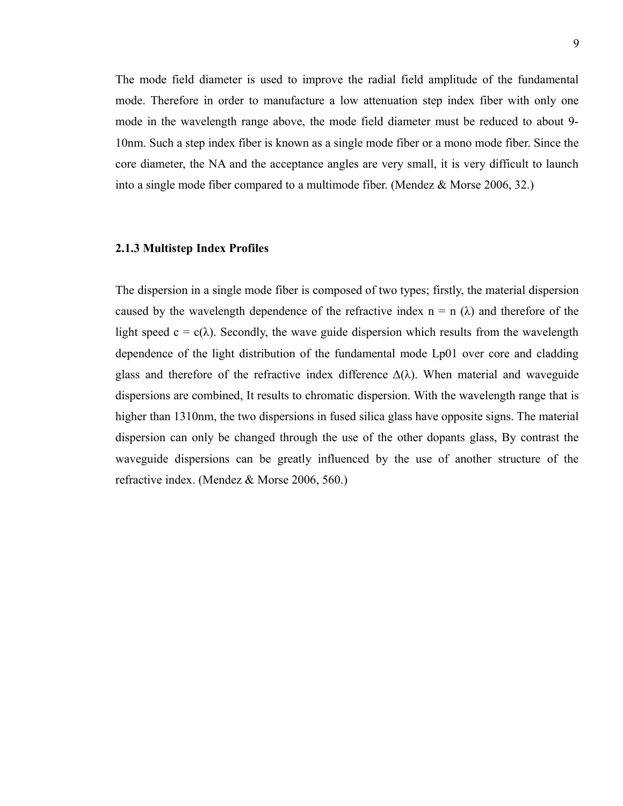The mode field diameter is used to improve the radial field amplitude of the fundamental mode. Therefore in order to manufacture a low attenuation step index fiber with only one mode in the wavelength range above, the mode field diameter must be reduced to about 9- 10nm. Such a step index fiber is known as a single mode fiber or a mono mode fiber. Since the core diameter, the NA and the acceptance angles are very small, it is very difficult to launch into a single mode fiber compared to a multimode fiber. (Mendez & Morse 2006, 32.)

#### **2.1.3 Multistep Index Profiles**

The dispersion in a single mode fiber is composed of two types; firstly, the material dispersion caused by the wavelength dependence of the refractive index  $n = n(\lambda)$  and therefore of the light speed  $c = c(\lambda)$ . Secondly, the wave guide dispersion which results from the wavelength dependence of the light distribution of the fundamental mode Lp01 over core and cladding glass and therefore of the refractive index difference  $\Delta(\lambda)$ . When material and waveguide dispersions are combined, It results to chromatic dispersion. With the wavelength range that is higher than 1310nm, the two dispersions in fused silica glass have opposite signs. The material dispersion can only be changed through the use of the other dopants glass, By contrast the waveguide dispersions can be greatly influenced by the use of another structure of the refractive index. (Mendez & Morse 2006, 560.)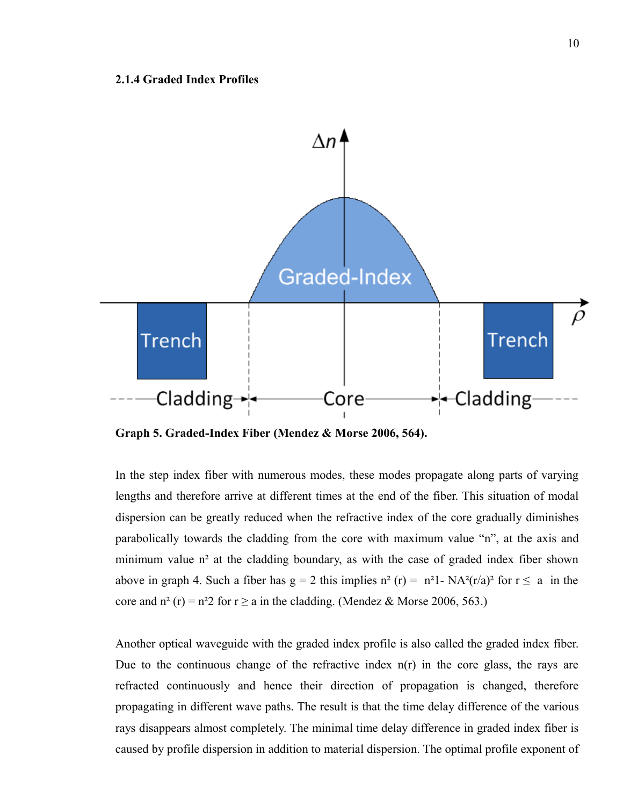

**Graph 5. Graded-Index Fiber (Mendez & Morse 2006, 564).**

In the step index fiber with numerous modes, these modes propagate along parts of varying lengths and therefore arrive at different times at the end of the fiber. This situation of modal dispersion can be greatly reduced when the refractive index of the core gradually diminishes parabolically towards the cladding from the core with maximum value "n", at the axis and minimum value n<sup>2</sup> at the cladding boundary, as with the case of graded index fiber shown above in graph 4. Such a fiber has  $g = 2$  this implies  $n^2$  (r) =  $n^2$ 1- NA<sup>2</sup>(r/a)<sup>2</sup> for  $r \le a$  in the core and  $n^2$  (r) =  $n^2$  for  $r \ge a$  in the cladding. (Mendez & Morse 2006, 563.)

Another optical waveguide with the graded index profile is also called the graded index fiber. Due to the continuous change of the refractive index  $n(r)$  in the core glass, the rays are refracted continuously and hence their direction of propagation is changed, therefore propagating in different wave paths. The result is that the time delay difference of the various rays disappears almost completely. The minimal time delay difference in graded index fiber is caused by profile dispersion in addition to material dispersion. The optimal profile exponent of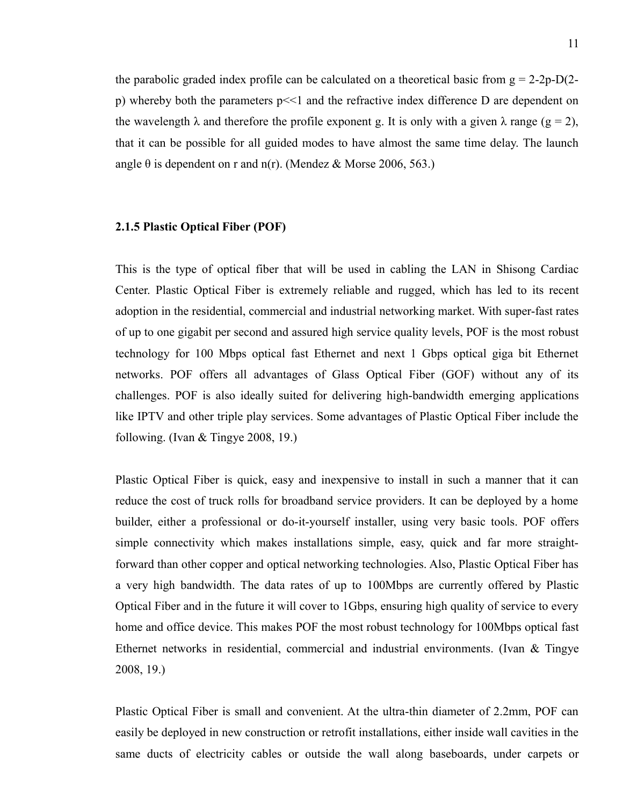the parabolic graded index profile can be calculated on a theoretical basic from  $g = 2-2p-D(2$ p) whereby both the parameters p<<1 and the refractive index difference D are dependent on the wavelength  $\lambda$  and therefore the profile exponent g. It is only with a given  $\lambda$  range (g = 2), that it can be possible for all guided modes to have almost the same time delay. The launch angle  $\theta$  is dependent on r and n(r). (Mendez & Morse 2006, 563.)

### **2.1.5 Plastic Optical Fiber (POF)**

This is the type of optical fiber that will be used in cabling the LAN in Shisong Cardiac Center. Plastic Optical Fiber is extremely reliable and rugged, which has led to its recent adoption in the residential, commercial and industrial networking market. With super-fast rates of up to one gigabit per second and assured high service quality levels, POF is the most robust technology for 100 Mbps optical fast Ethernet and next 1 Gbps optical giga bit Ethernet networks. POF offers all advantages of Glass Optical Fiber (GOF) without any of its challenges. POF is also ideally suited for delivering high-bandwidth emerging applications like IPTV and other triple play services. Some advantages of Plastic Optical Fiber include the following. (Ivan  $&$  Tingye 2008, 19.)

Plastic Optical Fiber is quick, easy and inexpensive to install in such a manner that it can reduce the cost of truck rolls for broadband service providers. It can be deployed by a home builder, either a professional or do-it-yourself installer, using very basic tools. POF offers simple connectivity which makes installations simple, easy, quick and far more straightforward than other copper and optical networking technologies. Also, Plastic Optical Fiber has a very high bandwidth. The data rates of up to 100Mbps are currently offered by Plastic Optical Fiber and in the future it will cover to 1Gbps, ensuring high quality of service to every home and office device. This makes POF the most robust technology for 100Mbps optical fast Ethernet networks in residential, commercial and industrial environments. (Ivan & Tingye 2008, 19.)

Plastic Optical Fiber is small and convenient. At the ultra-thin diameter of 2.2mm, POF can easily be deployed in new construction or retrofit installations, either inside wall cavities in the same ducts of electricity cables or outside the wall along baseboards, under carpets or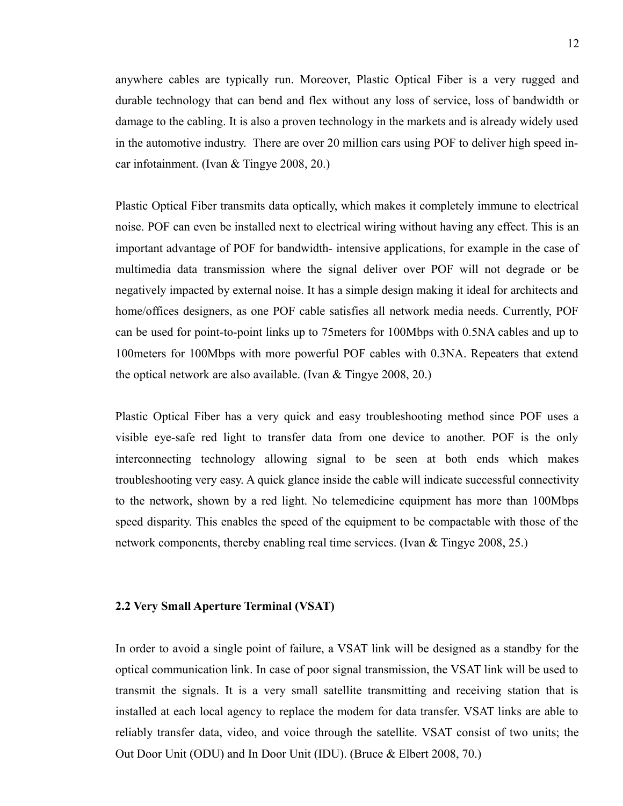anywhere cables are typically run. Moreover, Plastic Optical Fiber is a very rugged and durable technology that can bend and flex without any loss of service, loss of bandwidth or damage to the cabling. It is also a proven technology in the markets and is already widely used in the automotive industry. There are over 20 million cars using POF to deliver high speed incar infotainment. (Ivan & Tingye 2008, 20.)

Plastic Optical Fiber transmits data optically, which makes it completely immune to electrical noise. POF can even be installed next to electrical wiring without having any effect. This is an important advantage of POF for bandwidth- intensive applications, for example in the case of multimedia data transmission where the signal deliver over POF will not degrade or be negatively impacted by external noise. It has a simple design making it ideal for architects and home/offices designers, as one POF cable satisfies all network media needs. Currently, POF can be used for point-to-point links up to 75meters for 100Mbps with 0.5NA cables and up to 100meters for 100Mbps with more powerful POF cables with 0.3NA. Repeaters that extend the optical network are also available. (Ivan & Tingye 2008, 20.)

Plastic Optical Fiber has a very quick and easy troubleshooting method since POF uses a visible eye-safe red light to transfer data from one device to another. POF is the only interconnecting technology allowing signal to be seen at both ends which makes troubleshooting very easy. A quick glance inside the cable will indicate successful connectivity to the network, shown by a red light. No telemedicine equipment has more than 100Mbps speed disparity. This enables the speed of the equipment to be compactable with those of the network components, thereby enabling real time services. (Ivan & Tingye 2008, 25.)

### **2.2 Very Small Aperture Terminal (VSAT)**

In order to avoid a single point of failure, a VSAT link will be designed as a standby for the optical communication link. In case of poor signal transmission, the VSAT link will be used to transmit the signals. It is a very small satellite transmitting and receiving station that is installed at each local agency to replace the modem for data transfer. VSAT links are able to reliably transfer data, video, and voice through the satellite. VSAT consist of two units; the Out Door Unit (ODU) and In Door Unit (IDU). (Bruce & Elbert 2008, 70.)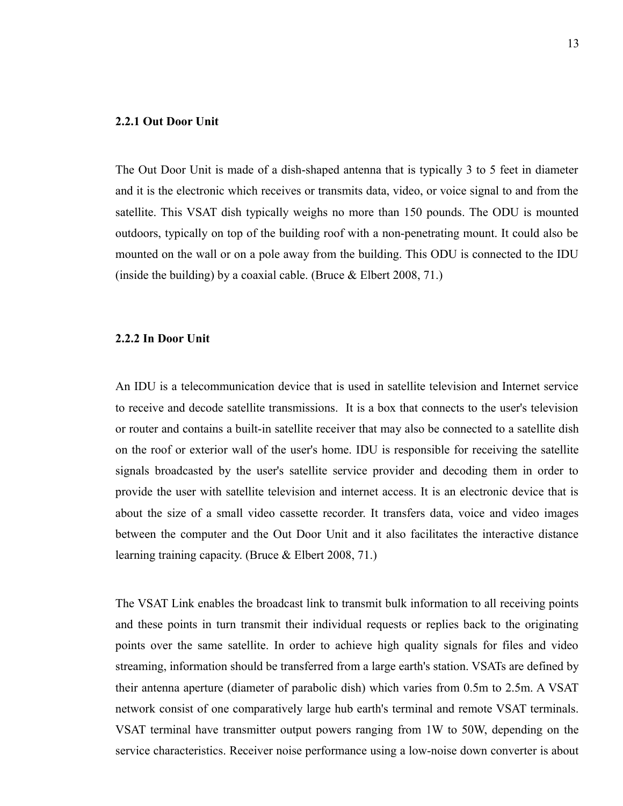#### **2.2.1 Out Door Unit**

The Out Door Unit is made of a dish-shaped antenna that is typically 3 to 5 feet in diameter and it is the electronic which receives or transmits data, video, or voice signal to and from the satellite. This VSAT dish typically weighs no more than 150 pounds. The ODU is mounted outdoors, typically on top of the building roof with a non-penetrating mount. It could also be mounted on the wall or on a pole away from the building. This ODU is connected to the IDU (inside the building) by a coaxial cable. (Bruce  $&$  Elbert 2008, 71.)

### **2.2.2 In Door Unit**

An IDU is a telecommunication device that is used in satellite television and Internet service to receive and decode satellite transmissions. It is a box that connects to the user's television or router and contains a built-in satellite receiver that may also be connected to a satellite dish on the roof or exterior wall of the user's home. IDU is responsible for receiving the satellite signals broadcasted by the user's satellite service provider and decoding them in order to provide the user with satellite television and internet access. It is an electronic device that is about the size of a small video cassette recorder. It transfers data, voice and video images between the computer and the Out Door Unit and it also facilitates the interactive distance learning training capacity. (Bruce & Elbert 2008, 71.)

The VSAT Link enables the broadcast link to transmit bulk information to all receiving points and these points in turn transmit their individual requests or replies back to the originating points over the same satellite. In order to achieve high quality signals for files and video streaming, information should be transferred from a large earth's station. VSATs are defined by their antenna aperture (diameter of parabolic dish) which varies from 0.5m to 2.5m. A VSAT network consist of one comparatively large hub earth's terminal and remote VSAT terminals. VSAT terminal have transmitter output powers ranging from 1W to 50W, depending on the service characteristics. Receiver noise performance using a low-noise down converter is about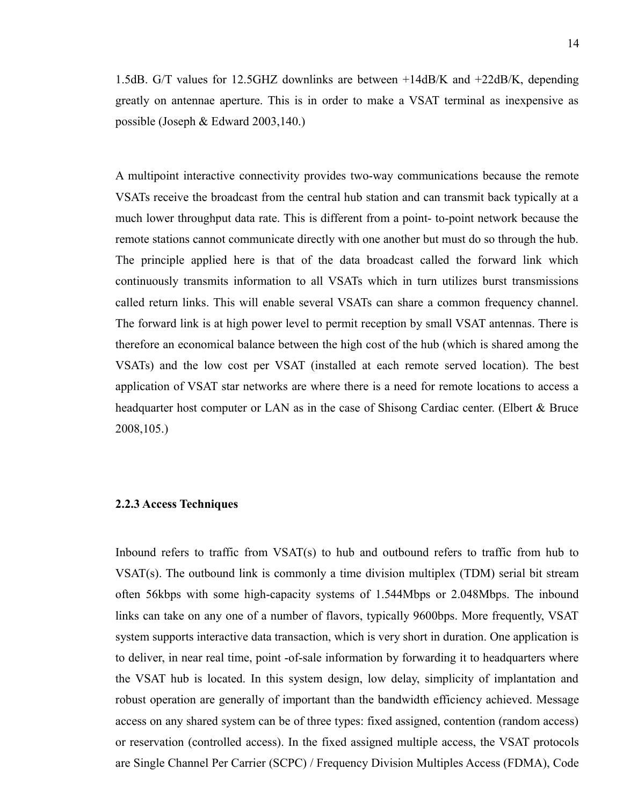1.5dB. G/T values for 12.5GHZ downlinks are between +14dB/K and +22dB/K, depending greatly on antennae aperture. This is in order to make a VSAT terminal as inexpensive as possible (Joseph & Edward 2003,140.)

A multipoint interactive connectivity provides two-way communications because the remote VSATs receive the broadcast from the central hub station and can transmit back typically at a much lower throughput data rate. This is different from a point- to-point network because the remote stations cannot communicate directly with one another but must do so through the hub. The principle applied here is that of the data broadcast called the forward link which continuously transmits information to all VSATs which in turn utilizes burst transmissions called return links. This will enable several VSATs can share a common frequency channel. The forward link is at high power level to permit reception by small VSAT antennas. There is therefore an economical balance between the high cost of the hub (which is shared among the VSATs) and the low cost per VSAT (installed at each remote served location). The best application of VSAT star networks are where there is a need for remote locations to access a headquarter host computer or LAN as in the case of Shisong Cardiac center. (Elbert & Bruce 2008,105.)

#### **2.2.3 Access Techniques**

Inbound refers to traffic from VSAT(s) to hub and outbound refers to traffic from hub to VSAT(s). The outbound link is commonly a time division multiplex (TDM) serial bit stream often 56kbps with some high-capacity systems of 1.544Mbps or 2.048Mbps. The inbound links can take on any one of a number of flavors, typically 9600bps. More frequently, VSAT system supports interactive data transaction, which is very short in duration. One application is to deliver, in near real time, point -of-sale information by forwarding it to headquarters where the VSAT hub is located. In this system design, low delay, simplicity of implantation and robust operation are generally of important than the bandwidth efficiency achieved. Message access on any shared system can be of three types: fixed assigned, contention (random access) or reservation (controlled access). In the fixed assigned multiple access, the VSAT protocols are Single Channel Per Carrier (SCPC) / Frequency Division Multiples Access (FDMA), Code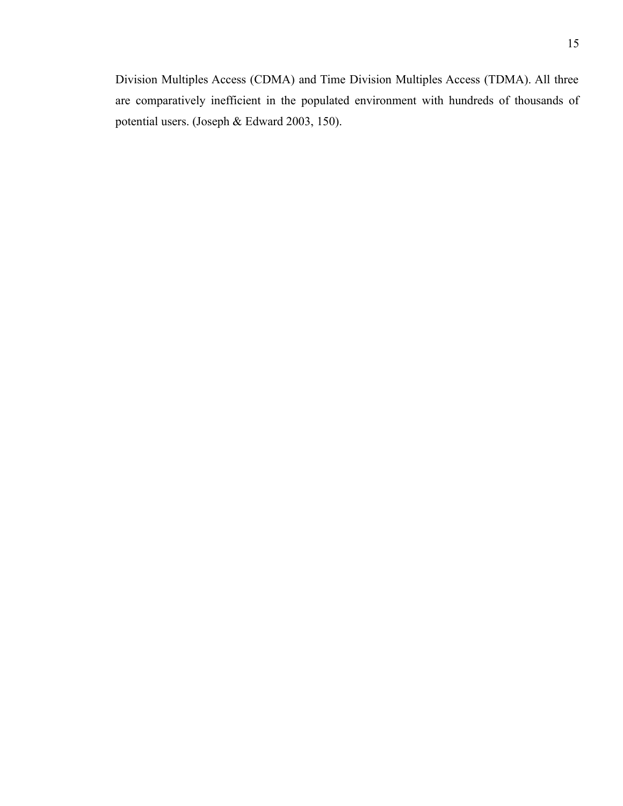Division Multiples Access (CDMA) and Time Division Multiples Access (TDMA). All three are comparatively inefficient in the populated environment with hundreds of thousands of potential users. (Joseph & Edward 2003, 150).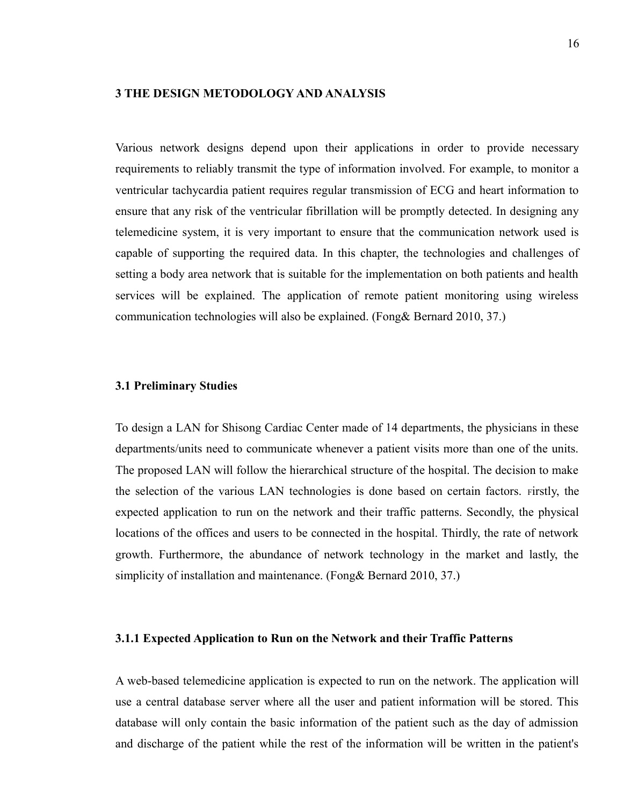### **3 THE DESIGN METODOLOGY AND ANALYSIS**

Various network designs depend upon their applications in order to provide necessary requirements to reliably transmit the type of information involved. For example, to monitor a ventricular tachycardia patient requires regular transmission of ECG and heart information to ensure that any risk of the ventricular fibrillation will be promptly detected. In designing any telemedicine system, it is very important to ensure that the communication network used is capable of supporting the required data. In this chapter, the technologies and challenges of setting a body area network that is suitable for the implementation on both patients and health services will be explained. The application of remote patient monitoring using wireless communication technologies will also be explained. (Fong& Bernard 2010, 37.)

#### **3.1 Preliminary Studies**

To design a LAN for Shisong Cardiac Center made of 14 departments, the physicians in these departments/units need to communicate whenever a patient visits more than one of the units. The proposed LAN will follow the hierarchical structure of the hospital. The decision to make the selection of the various LAN technologies is done based on certain factors. Firstly, the expected application to run on the network and their traffic patterns. Secondly, the physical locations of the offices and users to be connected in the hospital. Thirdly, the rate of network growth. Furthermore, the abundance of network technology in the market and lastly, the simplicity of installation and maintenance. (Fong& Bernard 2010, 37.)

#### **3.1.1 Expected Application to Run on the Network and their Traffic Patterns**

A web-based telemedicine application is expected to run on the network. The application will use a central database server where all the user and patient information will be stored. This database will only contain the basic information of the patient such as the day of admission and discharge of the patient while the rest of the information will be written in the patient's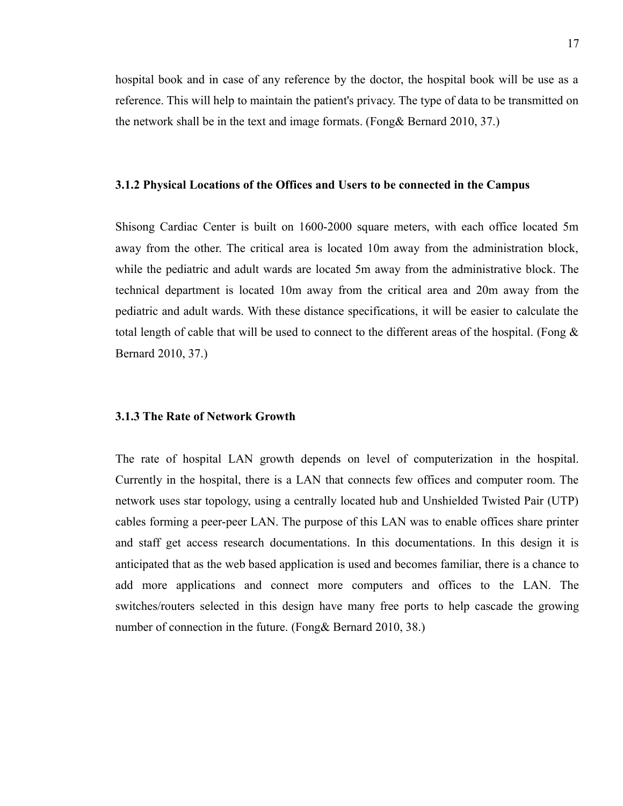hospital book and in case of any reference by the doctor, the hospital book will be use as a reference. This will help to maintain the patient's privacy. The type of data to be transmitted on the network shall be in the text and image formats. (Fong& Bernard 2010, 37.)

### **3.1.2 Physical Locations of the Offices and Users to be connected in the Campus**

Shisong Cardiac Center is built on 1600-2000 square meters, with each office located 5m away from the other. The critical area is located 10m away from the administration block, while the pediatric and adult wards are located 5m away from the administrative block. The technical department is located 10m away from the critical area and 20m away from the pediatric and adult wards. With these distance specifications, it will be easier to calculate the total length of cable that will be used to connect to the different areas of the hospital. (Fong  $\&$ Bernard 2010, 37.)

### **3.1.3 The Rate of Network Growth**

The rate of hospital LAN growth depends on level of computerization in the hospital. Currently in the hospital, there is a LAN that connects few offices and computer room. The network uses star topology, using a centrally located hub and Unshielded Twisted Pair (UTP) cables forming a peer-peer LAN. The purpose of this LAN was to enable offices share printer and staff get access research documentations. In this documentations. In this design it is anticipated that as the web based application is used and becomes familiar, there is a chance to add more applications and connect more computers and offices to the LAN. The switches/routers selected in this design have many free ports to help cascade the growing number of connection in the future. (Fong& Bernard 2010, 38.)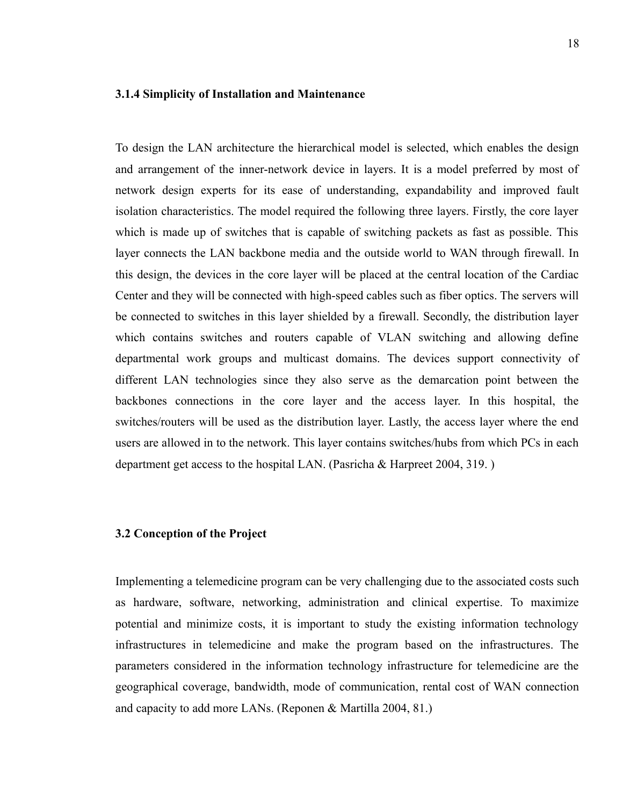#### **3.1.4 Simplicity of Installation and Maintenance**

To design the LAN architecture the hierarchical model is selected, which enables the design and arrangement of the inner-network device in layers. It is a model preferred by most of network design experts for its ease of understanding, expandability and improved fault isolation characteristics. The model required the following three layers. Firstly, the core layer which is made up of switches that is capable of switching packets as fast as possible. This layer connects the LAN backbone media and the outside world to WAN through firewall. In this design, the devices in the core layer will be placed at the central location of the Cardiac Center and they will be connected with high-speed cables such as fiber optics. The servers will be connected to switches in this layer shielded by a firewall. Secondly, the distribution layer which contains switches and routers capable of VLAN switching and allowing define departmental work groups and multicast domains. The devices support connectivity of different LAN technologies since they also serve as the demarcation point between the backbones connections in the core layer and the access layer. In this hospital, the switches/routers will be used as the distribution layer. Lastly, the access layer where the end users are allowed in to the network. This layer contains switches/hubs from which PCs in each department get access to the hospital LAN. (Pasricha & Harpreet 2004, 319. )

### **3.2 Conception of the Project**

Implementing a telemedicine program can be very challenging due to the associated costs such as hardware, software, networking, administration and clinical expertise. To maximize potential and minimize costs, it is important to study the existing information technology infrastructures in telemedicine and make the program based on the infrastructures. The parameters considered in the information technology infrastructure for telemedicine are the geographical coverage, bandwidth, mode of communication, rental cost of WAN connection and capacity to add more LANs. (Reponen & Martilla 2004, 81.)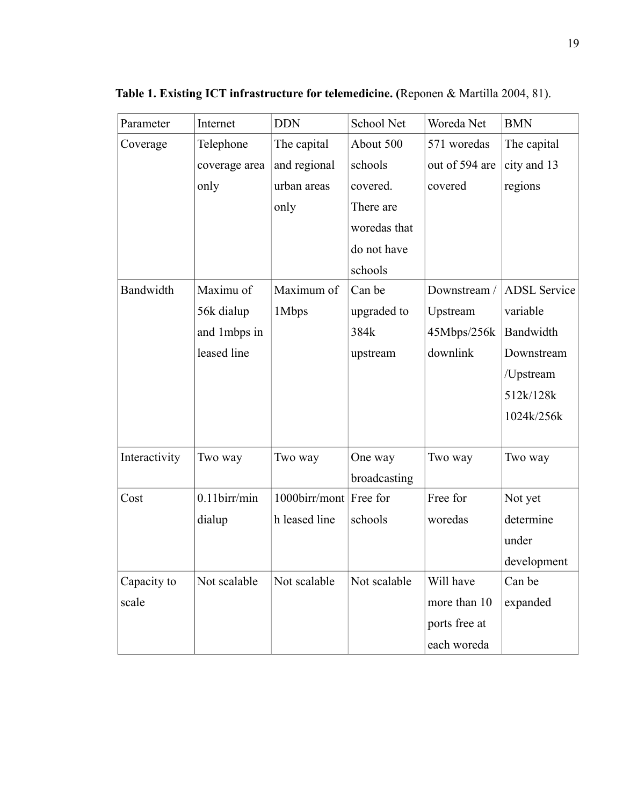| Parameter     | Internet        | <b>DDN</b>    | School Net   | Woreda Net     | <b>BMN</b>          |
|---------------|-----------------|---------------|--------------|----------------|---------------------|
| Coverage      | Telephone       | The capital   | About 500    | 571 woredas    | The capital         |
|               | coverage area   | and regional  | schools      | out of 594 are | city and 13         |
|               | only            | urban areas   | covered.     | covered        | regions             |
|               |                 | only          | There are    |                |                     |
|               |                 |               | woredas that |                |                     |
|               |                 |               | do not have  |                |                     |
|               |                 |               | schools      |                |                     |
| Bandwidth     | Maximu of       | Maximum of    | Can be       | Downstream /   | <b>ADSL Service</b> |
|               | 56k dialup      | 1Mbps         | upgraded to  | Upstream       | variable            |
|               | and 1mbps in    |               | 384k         | 45Mbps/256k    | Bandwidth           |
|               | leased line     |               | upstream     | downlink       | Downstream          |
|               |                 |               |              |                | /Upstream           |
|               |                 |               |              |                | 512k/128k           |
|               |                 |               |              |                | 1024k/256k          |
|               |                 |               |              |                |                     |
| Interactivity | Two way         | Two way       | One way      | Two way        | Two way             |
|               |                 |               | broadcasting |                |                     |
| Cost          | $0.11$ birr/min | 1000birr/mont | Free for     | Free for       | Not yet             |
|               | dialup          | h leased line | schools      | woredas        | determine           |
|               |                 |               |              |                | under               |
|               |                 |               |              |                | development         |
| Capacity to   | Not scalable    | Not scalable  | Not scalable | Will have      | Can be              |
| scale         |                 |               |              | more than 10   | expanded            |
|               |                 |               |              | ports free at  |                     |
|               |                 |               |              | each woreda    |                     |

**Table 1. Existing ICT infrastructure for telemedicine. (**Reponen & Martilla 2004, 81).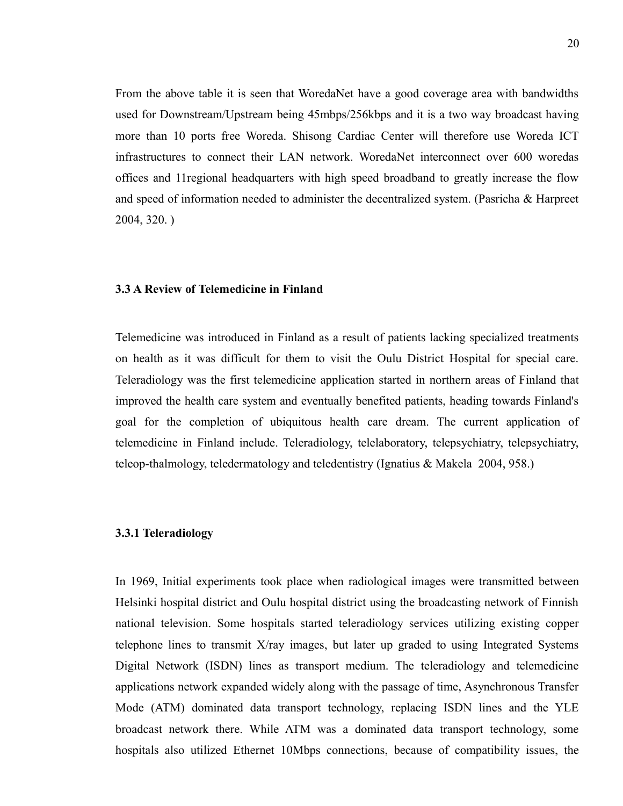From the above table it is seen that WoredaNet have a good coverage area with bandwidths used for Downstream/Upstream being 45mbps/256kbps and it is a two way broadcast having more than 10 ports free Woreda. Shisong Cardiac Center will therefore use Woreda ICT infrastructures to connect their LAN network. WoredaNet interconnect over 600 woredas offices and 11regional headquarters with high speed broadband to greatly increase the flow and speed of information needed to administer the decentralized system. (Pasricha & Harpreet 2004, 320. )

### **3.3 A Review of Telemedicine in Finland**

Telemedicine was introduced in Finland as a result of patients lacking specialized treatments on health as it was difficult for them to visit the Oulu District Hospital for special care. Teleradiology was the first telemedicine application started in northern areas of Finland that improved the health care system and eventually benefited patients, heading towards Finland's goal for the completion of ubiquitous health care dream. The current application of telemedicine in Finland include. Teleradiology, telelaboratory, telepsychiatry, telepsychiatry, teleop-thalmology, teledermatology and teledentistry (Ignatius & Makela 2004, 958.)

### **3.3.1 Teleradiology**

In 1969, Initial experiments took place when radiological images were transmitted between Helsinki hospital district and Oulu hospital district using the broadcasting network of Finnish national television. Some hospitals started teleradiology services utilizing existing copper telephone lines to transmit X/ray images, but later up graded to using Integrated Systems Digital Network (ISDN) lines as transport medium. The teleradiology and telemedicine applications network expanded widely along with the passage of time, Asynchronous Transfer Mode (ATM) dominated data transport technology, replacing ISDN lines and the YLE broadcast network there. While ATM was a dominated data transport technology, some hospitals also utilized Ethernet 10Mbps connections, because of compatibility issues, the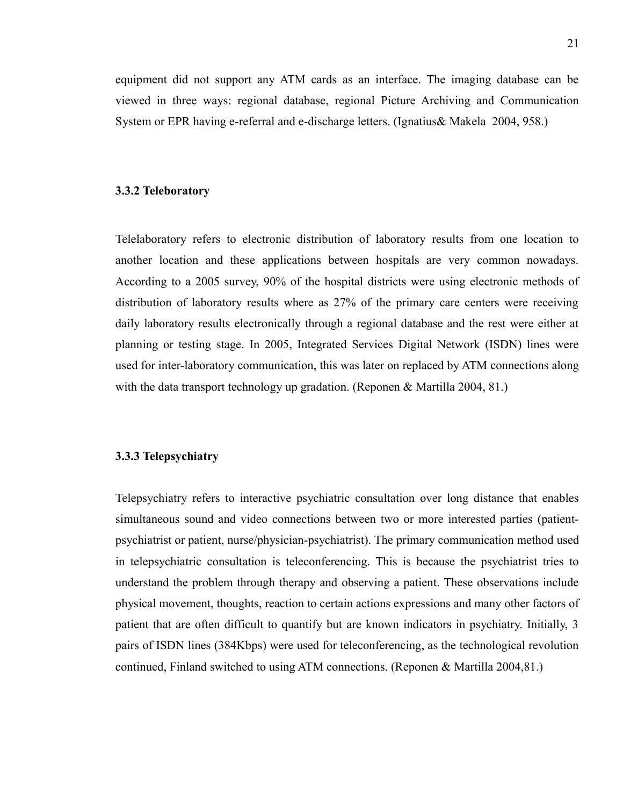equipment did not support any ATM cards as an interface. The imaging database can be viewed in three ways: regional database, regional Picture Archiving and Communication System or EPR having e-referral and e-discharge letters. (Ignatius& Makela 2004, 958.)

### **3.3.2 Teleboratory**

Telelaboratory refers to electronic distribution of laboratory results from one location to another location and these applications between hospitals are very common nowadays. According to a 2005 survey, 90% of the hospital districts were using electronic methods of distribution of laboratory results where as 27% of the primary care centers were receiving daily laboratory results electronically through a regional database and the rest were either at planning or testing stage. In 2005, Integrated Services Digital Network (ISDN) lines were used for inter-laboratory communication, this was later on replaced by ATM connections along with the data transport technology up gradation. (Reponen & Martilla 2004, 81.)

#### **3.3.3 Telepsychiatry**

Telepsychiatry refers to interactive psychiatric consultation over long distance that enables simultaneous sound and video connections between two or more interested parties (patientpsychiatrist or patient, nurse/physician-psychiatrist). The primary communication method used in telepsychiatric consultation is teleconferencing. This is because the psychiatrist tries to understand the problem through therapy and observing a patient. These observations include physical movement, thoughts, reaction to certain actions expressions and many other factors of patient that are often difficult to quantify but are known indicators in psychiatry. Initially, 3 pairs of ISDN lines (384Kbps) were used for teleconferencing, as the technological revolution continued, Finland switched to using ATM connections. (Reponen & Martilla 2004,81.)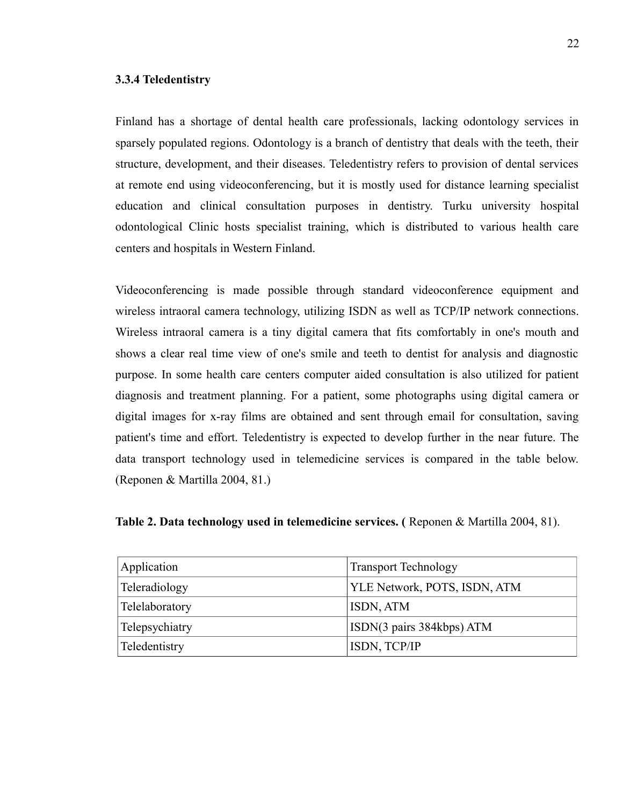### **3.3.4 Teledentistry**

Finland has a shortage of dental health care professionals, lacking odontology services in sparsely populated regions. Odontology is a branch of dentistry that deals with the teeth, their structure, development, and their diseases. Teledentistry refers to provision of dental services at remote end using videoconferencing, but it is mostly used for distance learning specialist education and clinical consultation purposes in dentistry. Turku university hospital odontological Clinic hosts specialist training, which is distributed to various health care centers and hospitals in Western Finland.

Videoconferencing is made possible through standard videoconference equipment and wireless intraoral camera technology, utilizing ISDN as well as TCP/IP network connections. Wireless intraoral camera is a tiny digital camera that fits comfortably in one's mouth and shows a clear real time view of one's smile and teeth to dentist for analysis and diagnostic purpose. In some health care centers computer aided consultation is also utilized for patient diagnosis and treatment planning. For a patient, some photographs using digital camera or digital images for x-ray films are obtained and sent through email for consultation, saving patient's time and effort. Teledentistry is expected to develop further in the near future. The data transport technology used in telemedicine services is compared in the table below. (Reponen & Martilla 2004, 81.)

| Table 2. Data technology used in telemedicine services. (Reponen & Martilla 2004, 81). |  |  |  |  |  |  |
|----------------------------------------------------------------------------------------|--|--|--|--|--|--|
|----------------------------------------------------------------------------------------|--|--|--|--|--|--|

| Application    | Transport Technology         |
|----------------|------------------------------|
| Teleradiology  | YLE Network, POTS, ISDN, ATM |
| Telelaboratory | ISDN, ATM                    |
| Telepsychiatry | ISDN(3 pairs 384kbps) ATM    |
| Teledentistry  | ISDN, TCP/IP                 |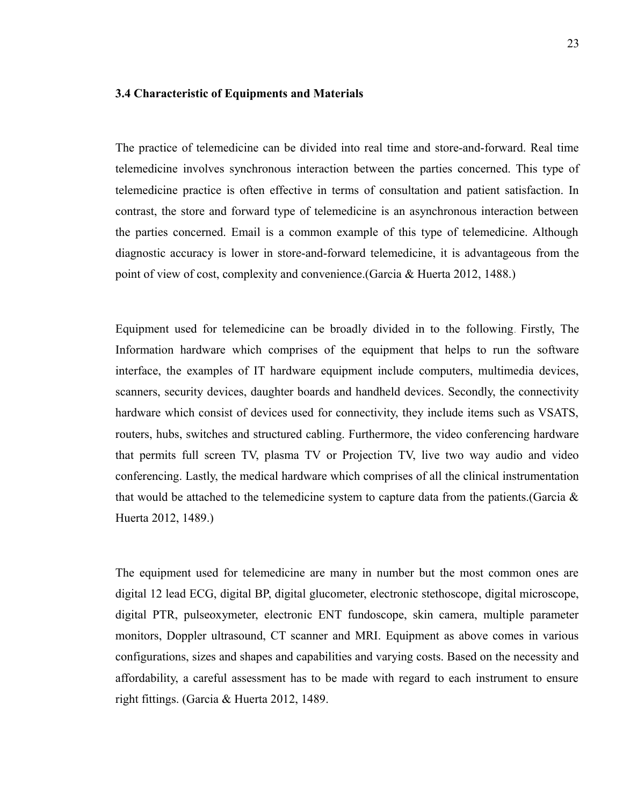#### **3.4 Characteristic of Equipments and Materials**

The practice of telemedicine can be divided into real time and store-and-forward. Real time telemedicine involves synchronous interaction between the parties concerned. This type of telemedicine practice is often effective in terms of consultation and patient satisfaction. In contrast, the store and forward type of telemedicine is an asynchronous interaction between the parties concerned. Email is a common example of this type of telemedicine. Although diagnostic accuracy is lower in store-and-forward telemedicine, it is advantageous from the point of view of cost, complexity and convenience.(Garcia & Huerta 2012, 1488.)

Equipment used for telemedicine can be broadly divided in to the following. Firstly, The Information hardware which comprises of the equipment that helps to run the software interface, the examples of IT hardware equipment include computers, multimedia devices, scanners, security devices, daughter boards and handheld devices. Secondly, the connectivity hardware which consist of devices used for connectivity, they include items such as VSATS, routers, hubs, switches and structured cabling. Furthermore, the video conferencing hardware that permits full screen TV, plasma TV or Projection TV, live two way audio and video conferencing. Lastly, the medical hardware which comprises of all the clinical instrumentation that would be attached to the telemedicine system to capture data from the patients.(Garcia & Huerta 2012, 1489.)

The equipment used for telemedicine are many in number but the most common ones are digital 12 lead ECG, digital BP, digital glucometer, electronic stethoscope, digital microscope, digital PTR, pulseoxymeter, electronic ENT fundoscope, skin camera, multiple parameter monitors, Doppler ultrasound, CT scanner and MRI. Equipment as above comes in various configurations, sizes and shapes and capabilities and varying costs. Based on the necessity and affordability, a careful assessment has to be made with regard to each instrument to ensure right fittings. (Garcia & Huerta 2012, 1489.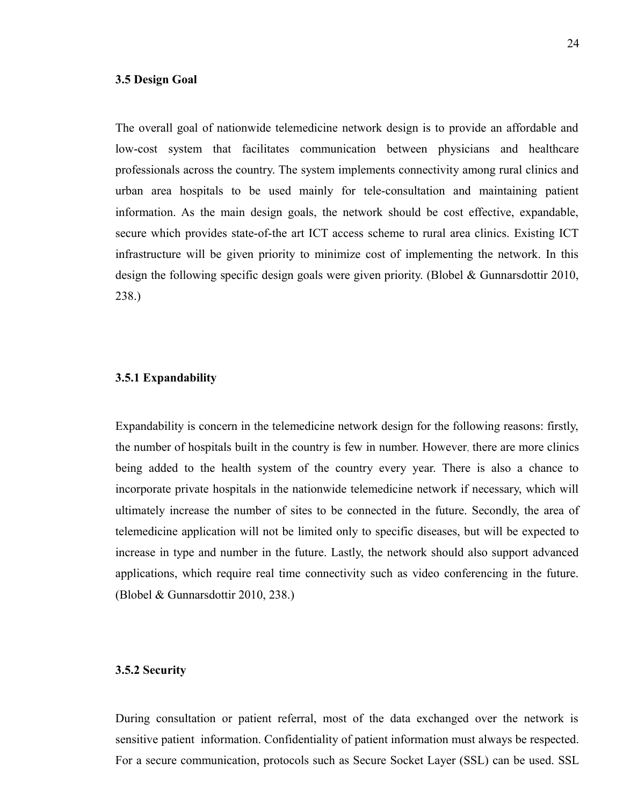### **3.5 Design Goal**

The overall goal of nationwide telemedicine network design is to provide an affordable and low-cost system that facilitates communication between physicians and healthcare professionals across the country. The system implements connectivity among rural clinics and urban area hospitals to be used mainly for tele-consultation and maintaining patient information. As the main design goals, the network should be cost effective, expandable, secure which provides state-of-the art ICT access scheme to rural area clinics. Existing ICT infrastructure will be given priority to minimize cost of implementing the network. In this design the following specific design goals were given priority. (Blobel & Gunnarsdottir 2010, 238.)

### **3.5.1 Expandability**

Expandability is concern in the telemedicine network design for the following reasons: firstly, the number of hospitals built in the country is few in number. However, there are more clinics being added to the health system of the country every year. There is also a chance to incorporate private hospitals in the nationwide telemedicine network if necessary, which will ultimately increase the number of sites to be connected in the future. Secondly, the area of telemedicine application will not be limited only to specific diseases, but will be expected to increase in type and number in the future. Lastly, the network should also support advanced applications, which require real time connectivity such as video conferencing in the future. (Blobel & Gunnarsdottir 2010, 238.)

### **3.5.2 Security**

During consultation or patient referral, most of the data exchanged over the network is sensitive patient information. Confidentiality of patient information must always be respected. For a secure communication, protocols such as Secure Socket Layer (SSL) can be used. SSL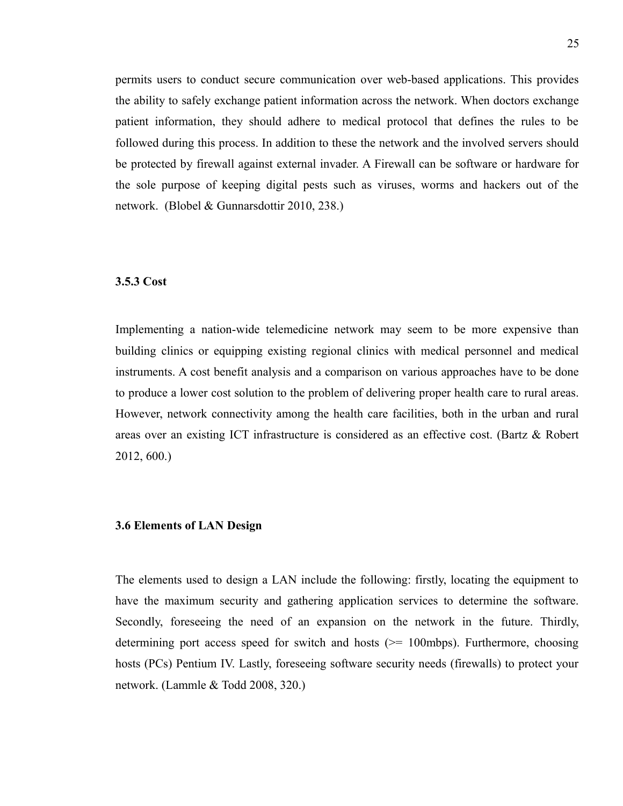permits users to conduct secure communication over web-based applications. This provides the ability to safely exchange patient information across the network. When doctors exchange patient information, they should adhere to medical protocol that defines the rules to be followed during this process. In addition to these the network and the involved servers should be protected by firewall against external invader. A Firewall can be software or hardware for the sole purpose of keeping digital pests such as viruses, worms and hackers out of the network. (Blobel & Gunnarsdottir 2010, 238.)

### **3.5.3 Cost**

Implementing a nation-wide telemedicine network may seem to be more expensive than building clinics or equipping existing regional clinics with medical personnel and medical instruments. A cost benefit analysis and a comparison on various approaches have to be done to produce a lower cost solution to the problem of delivering proper health care to rural areas. However, network connectivity among the health care facilities, both in the urban and rural areas over an existing ICT infrastructure is considered as an effective cost. (Bartz & Robert 2012, 600.)

#### **3.6 Elements of LAN Design**

The elements used to design a LAN include the following: firstly, locating the equipment to have the maximum security and gathering application services to determine the software. Secondly, foreseeing the need of an expansion on the network in the future. Thirdly, determining port access speed for switch and hosts (>= 100mbps). Furthermore, choosing hosts (PCs) Pentium IV. Lastly, foreseeing software security needs (firewalls) to protect your network. (Lammle & Todd 2008, 320.)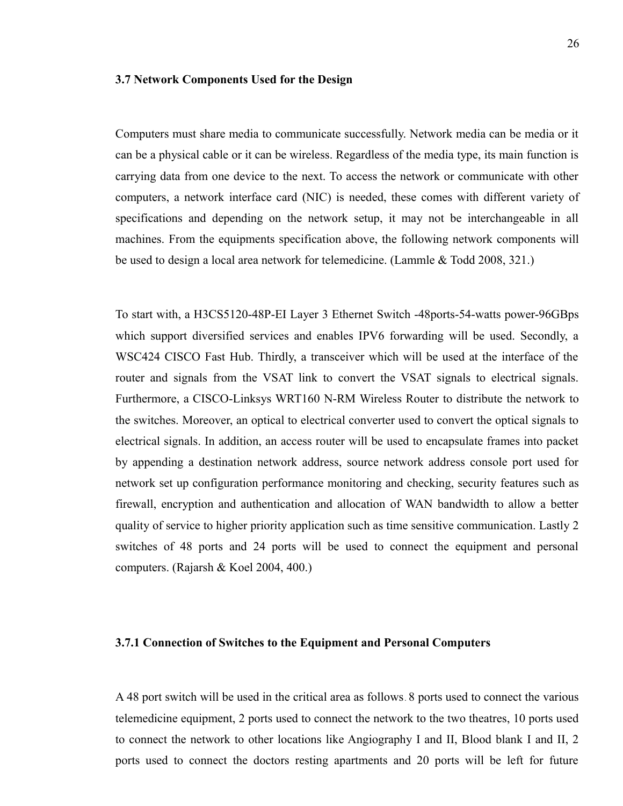### **3.7 Network Components Used for the Design**

Computers must share media to communicate successfully. Network media can be media or it can be a physical cable or it can be wireless. Regardless of the media type, its main function is carrying data from one device to the next. To access the network or communicate with other computers, a network interface card (NIC) is needed, these comes with different variety of specifications and depending on the network setup, it may not be interchangeable in all machines. From the equipments specification above, the following network components will be used to design a local area network for telemedicine. (Lammle & Todd 2008, 321.)

To start with, a H3CS5120-48P-EI Layer 3 Ethernet Switch -48ports-54-watts power-96GBps which support diversified services and enables IPV6 forwarding will be used. Secondly, a WSC424 CISCO Fast Hub. Thirdly, a transceiver which will be used at the interface of the router and signals from the VSAT link to convert the VSAT signals to electrical signals. Furthermore, a CISCO-Linksys WRT160 N-RM Wireless Router to distribute the network to the switches. Moreover, an optical to electrical converter used to convert the optical signals to electrical signals. In addition, an access router will be used to encapsulate frames into packet by appending a destination network address, source network address console port used for network set up configuration performance monitoring and checking, security features such as firewall, encryption and authentication and allocation of WAN bandwidth to allow a better quality of service to higher priority application such as time sensitive communication. Lastly 2 switches of 48 ports and 24 ports will be used to connect the equipment and personal computers. (Rajarsh & Koel 2004, 400.)

#### **3.7.1 Connection of Switches to the Equipment and Personal Computers**

A 48 port switch will be used in the critical area as follows. 8 ports used to connect the various telemedicine equipment, 2 ports used to connect the network to the two theatres, 10 ports used to connect the network to other locations like Angiography I and II, Blood blank I and II, 2 ports used to connect the doctors resting apartments and 20 ports will be left for future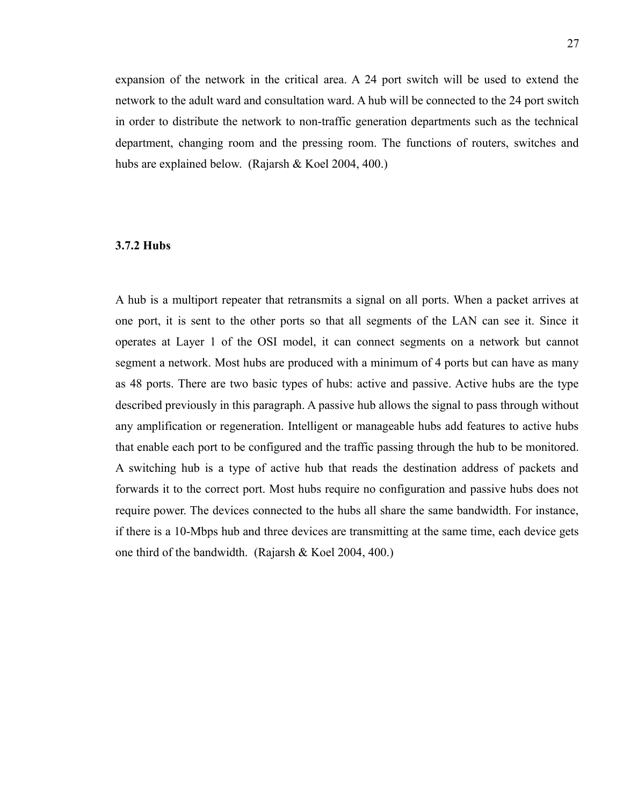expansion of the network in the critical area. A 24 port switch will be used to extend the network to the adult ward and consultation ward. A hub will be connected to the 24 port switch in order to distribute the network to non-traffic generation departments such as the technical department, changing room and the pressing room. The functions of routers, switches and hubs are explained below. (Rajarsh & Koel 2004, 400.)

### **3.7.2 Hubs**

A hub is a multiport repeater that retransmits a signal on all ports. When a packet arrives at one port, it is sent to the other ports so that all segments of the LAN can see it. Since it operates at Layer 1 of the OSI model, it can connect segments on a network but cannot segment a network. Most hubs are produced with a minimum of 4 ports but can have as many as 48 ports. There are two basic types of hubs: active and passive. Active hubs are the type described previously in this paragraph. A passive hub allows the signal to pass through without any amplification or regeneration. Intelligent or manageable hubs add features to active hubs that enable each port to be configured and the traffic passing through the hub to be monitored. A switching hub is a type of active hub that reads the destination address of packets and forwards it to the correct port. Most hubs require no configuration and passive hubs does not require power. The devices connected to the hubs all share the same bandwidth. For instance, if there is a 10-Mbps hub and three devices are transmitting at the same time, each device gets one third of the bandwidth. (Rajarsh & Koel 2004, 400.)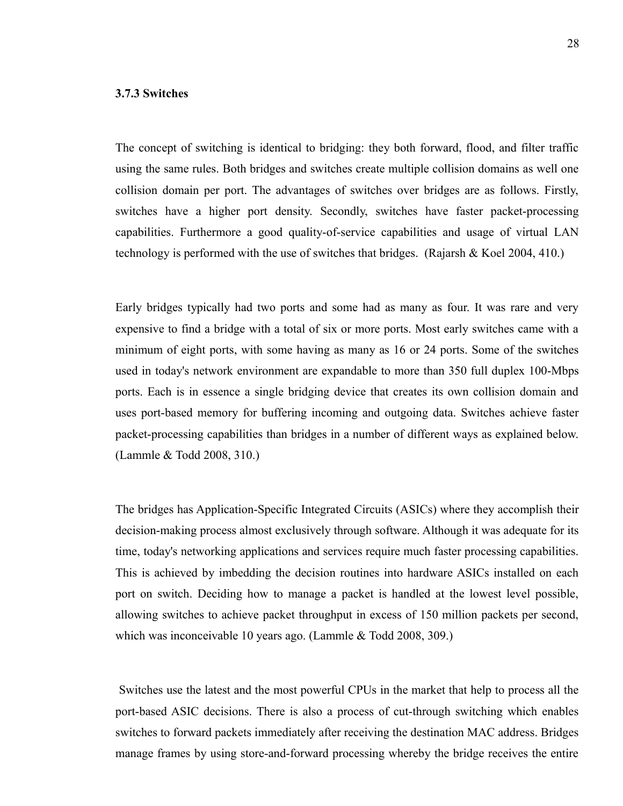#### **3.7.3 Switches**

The concept of switching is identical to bridging: they both forward, flood, and filter traffic using the same rules. Both bridges and switches create multiple collision domains as well one collision domain per port. The advantages of switches over bridges are as follows. Firstly, switches have a higher port density. Secondly, switches have faster packet-processing capabilities. Furthermore a good quality-of-service capabilities and usage of virtual LAN technology is performed with the use of switches that bridges. (Rajarsh & Koel 2004, 410.)

Early bridges typically had two ports and some had as many as four. It was rare and very expensive to find a bridge with a total of six or more ports. Most early switches came with a minimum of eight ports, with some having as many as 16 or 24 ports. Some of the switches used in today's network environment are expandable to more than 350 full duplex 100-Mbps ports. Each is in essence a single bridging device that creates its own collision domain and uses port-based memory for buffering incoming and outgoing data. Switches achieve faster packet-processing capabilities than bridges in a number of different ways as explained below. (Lammle & Todd 2008, 310.)

The bridges has Application-Specific Integrated Circuits (ASICs) where they accomplish their decision-making process almost exclusively through software. Although it was adequate for its time, today's networking applications and services require much faster processing capabilities. This is achieved by imbedding the decision routines into hardware ASICs installed on each port on switch. Deciding how to manage a packet is handled at the lowest level possible, allowing switches to achieve packet throughput in excess of 150 million packets per second, which was inconceivable 10 years ago. (Lammle & Todd 2008, 309.)

 Switches use the latest and the most powerful CPUs in the market that help to process all the port-based ASIC decisions. There is also a process of cut-through switching which enables switches to forward packets immediately after receiving the destination MAC address. Bridges manage frames by using store-and-forward processing whereby the bridge receives the entire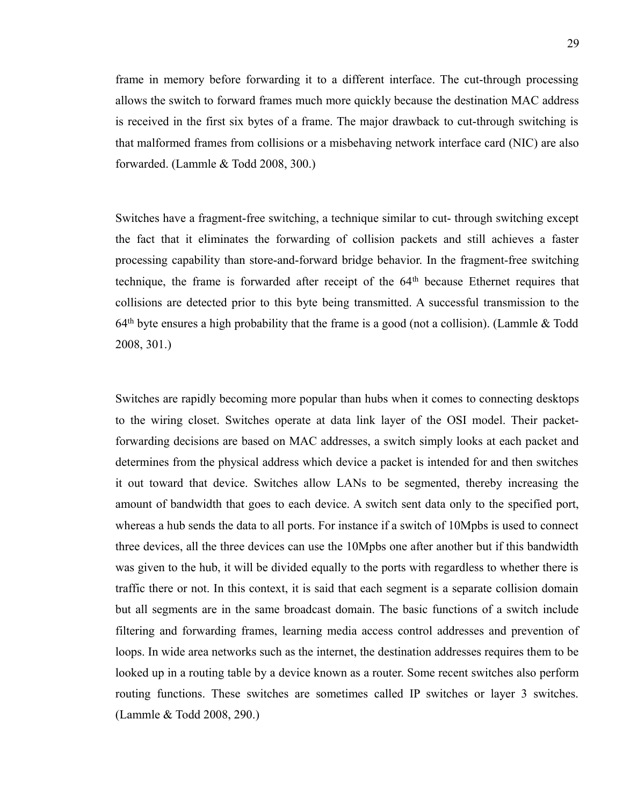frame in memory before forwarding it to a different interface. The cut-through processing allows the switch to forward frames much more quickly because the destination MAC address is received in the first six bytes of a frame. The major drawback to cut-through switching is that malformed frames from collisions or a misbehaving network interface card (NIC) are also forwarded. (Lammle & Todd 2008, 300.)

Switches have a fragment-free switching, a technique similar to cut- through switching except the fact that it eliminates the forwarding of collision packets and still achieves a faster processing capability than store-and-forward bridge behavior. In the fragment-free switching technique, the frame is forwarded after receipt of the 64<sup>th</sup> because Ethernet requires that collisions are detected prior to this byte being transmitted. A successful transmission to the  $64<sup>th</sup>$  byte ensures a high probability that the frame is a good (not a collision). (Lammle & Todd 2008, 301.)

Switches are rapidly becoming more popular than hubs when it comes to connecting desktops to the wiring closet. Switches operate at data link layer of the OSI model. Their packetforwarding decisions are based on MAC addresses, a switch simply looks at each packet and determines from the physical address which device a packet is intended for and then switches it out toward that device. Switches allow LANs to be segmented, thereby increasing the amount of bandwidth that goes to each device. A switch sent data only to the specified port, whereas a hub sends the data to all ports. For instance if a switch of 10Mpbs is used to connect three devices, all the three devices can use the 10Mpbs one after another but if this bandwidth was given to the hub, it will be divided equally to the ports with regardless to whether there is traffic there or not. In this context, it is said that each segment is a separate collision domain but all segments are in the same broadcast domain. The basic functions of a switch include filtering and forwarding frames, learning media access control addresses and prevention of loops. In wide area networks such as the internet, the destination addresses requires them to be looked up in a routing table by a device known as a router. Some recent switches also perform routing functions. These switches are sometimes called IP switches or layer 3 switches. (Lammle & Todd 2008, 290.)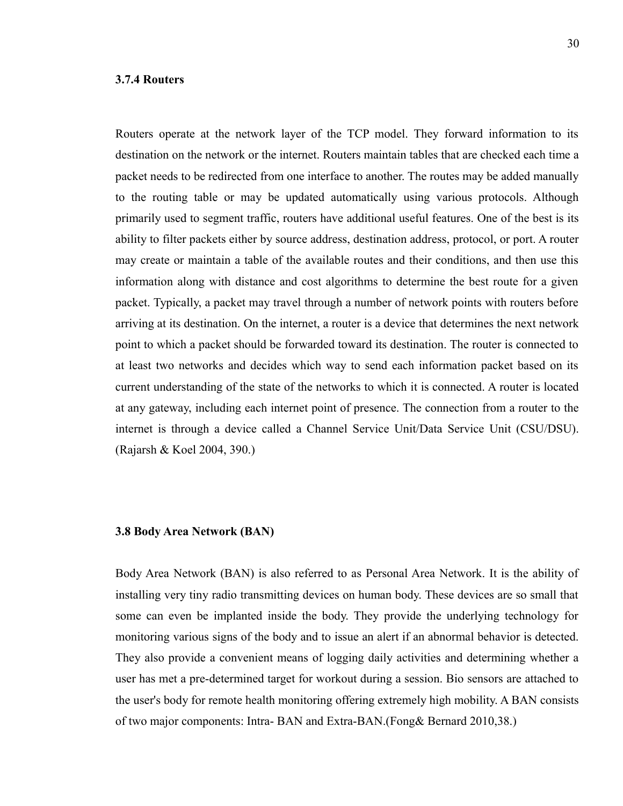### **3.7.4 Routers**

Routers operate at the network layer of the TCP model. They forward information to its destination on the network or the internet. Routers maintain tables that are checked each time a packet needs to be redirected from one interface to another. The routes may be added manually to the routing table or may be updated automatically using various protocols. Although primarily used to segment traffic, routers have additional useful features. One of the best is its ability to filter packets either by source address, destination address, protocol, or port. A router may create or maintain a table of the available routes and their conditions, and then use this information along with distance and cost algorithms to determine the best route for a given packet. Typically, a packet may travel through a number of network points with routers before arriving at its destination. On the internet, a router is a device that determines the next network point to which a packet should be forwarded toward its destination. The router is connected to at least two networks and decides which way to send each information packet based on its current understanding of the state of the networks to which it is connected. A router is located at any gateway, including each internet point of presence. The connection from a router to the internet is through a device called a Channel Service Unit/Data Service Unit (CSU/DSU). (Rajarsh & Koel 2004, 390.)

### **3.8 Body Area Network (BAN)**

Body Area Network (BAN) is also referred to as Personal Area Network. It is the ability of installing very tiny radio transmitting devices on human body. These devices are so small that some can even be implanted inside the body. They provide the underlying technology for monitoring various signs of the body and to issue an alert if an abnormal behavior is detected. They also provide a convenient means of logging daily activities and determining whether a user has met a pre-determined target for workout during a session. Bio sensors are attached to the user's body for remote health monitoring offering extremely high mobility. A BAN consists of two major components: Intra- BAN and Extra-BAN.(Fong& Bernard 2010,38.)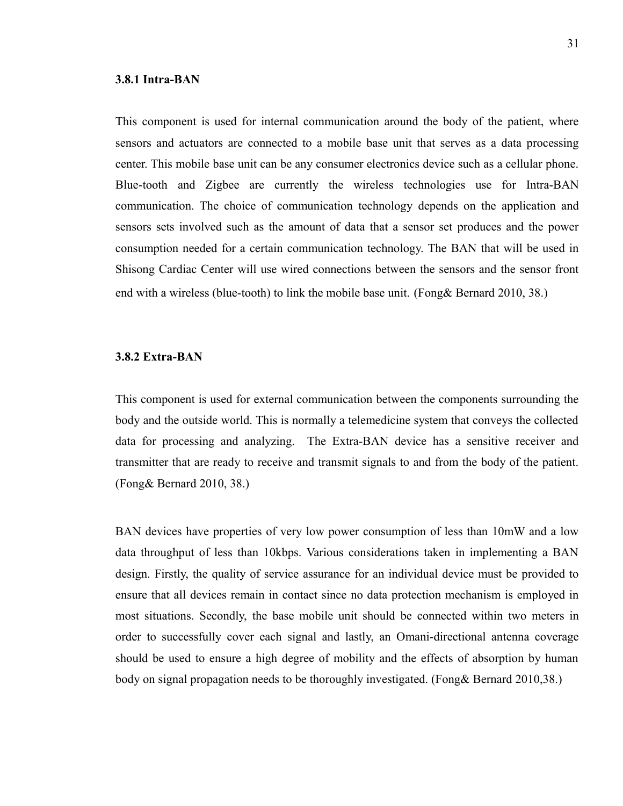### **3.8.1 Intra-BAN**

This component is used for internal communication around the body of the patient, where sensors and actuators are connected to a mobile base unit that serves as a data processing center. This mobile base unit can be any consumer electronics device such as a cellular phone. Blue-tooth and Zigbee are currently the wireless technologies use for Intra-BAN communication. The choice of communication technology depends on the application and sensors sets involved such as the amount of data that a sensor set produces and the power consumption needed for a certain communication technology. The BAN that will be used in Shisong Cardiac Center will use wired connections between the sensors and the sensor front end with a wireless (blue-tooth) to link the mobile base unit. (Fong& Bernard 2010, 38.)

#### **3.8.2 Extra-BAN**

This component is used for external communication between the components surrounding the body and the outside world. This is normally a telemedicine system that conveys the collected data for processing and analyzing. The Extra-BAN device has a sensitive receiver and transmitter that are ready to receive and transmit signals to and from the body of the patient. (Fong& Bernard 2010, 38.)

BAN devices have properties of very low power consumption of less than 10mW and a low data throughput of less than 10kbps. Various considerations taken in implementing a BAN design. Firstly, the quality of service assurance for an individual device must be provided to ensure that all devices remain in contact since no data protection mechanism is employed in most situations. Secondly, the base mobile unit should be connected within two meters in order to successfully cover each signal and lastly, an Omani-directional antenna coverage should be used to ensure a high degree of mobility and the effects of absorption by human body on signal propagation needs to be thoroughly investigated. (Fong& Bernard 2010,38.)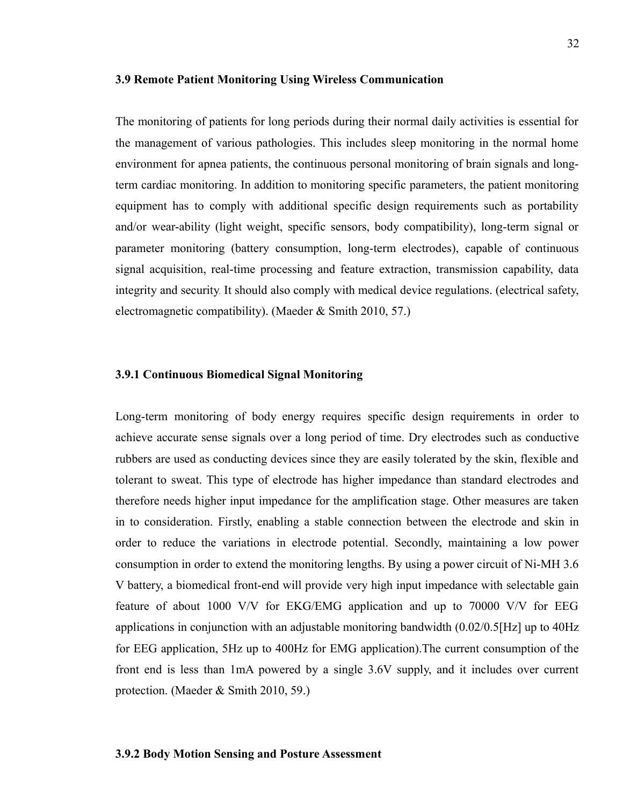### **3.9 Remote Patient Monitoring Using Wireless Communication**

The monitoring of patients for long periods during their normal daily activities is essential for the management of various pathologies. This includes sleep monitoring in the normal home environment for apnea patients, the continuous personal monitoring of brain signals and longterm cardiac monitoring. In addition to monitoring specific parameters, the patient monitoring equipment has to comply with additional specific design requirements such as portability and/or wear-ability (light weight, specific sensors, body compatibility), long-term signal or parameter monitoring (battery consumption, long-term electrodes), capable of continuous signal acquisition, real-time processing and feature extraction, transmission capability, data integrity and security. It should also comply with medical device regulations. (electrical safety, electromagnetic compatibility). (Maeder & Smith 2010, 57.)

### **3.9.1 Continuous Biomedical Signal Monitoring**

Long-term monitoring of body energy requires specific design requirements in order to achieve accurate sense signals over a long period of time. Dry electrodes such as conductive rubbers are used as conducting devices since they are easily tolerated by the skin, flexible and tolerant to sweat. This type of electrode has higher impedance than standard electrodes and therefore needs higher input impedance for the amplification stage. Other measures are taken in to consideration. Firstly, enabling a stable connection between the electrode and skin in order to reduce the variations in electrode potential. Secondly, maintaining a low power consumption in order to extend the monitoring lengths. By using a power circuit of Ni-MH 3.6 V battery, a biomedical front-end will provide very high input impedance with selectable gain feature of about 1000 V/V for EKG/EMG application and up to 70000 V/V for EEG applications in conjunction with an adjustable monitoring bandwidth (0.02/0.5[Hz] up to 40Hz for EEG application, 5Hz up to 400Hz for EMG application).The current consumption of the front end is less than 1mA powered by a single 3.6V supply, and it includes over current protection. (Maeder & Smith 2010, 59.)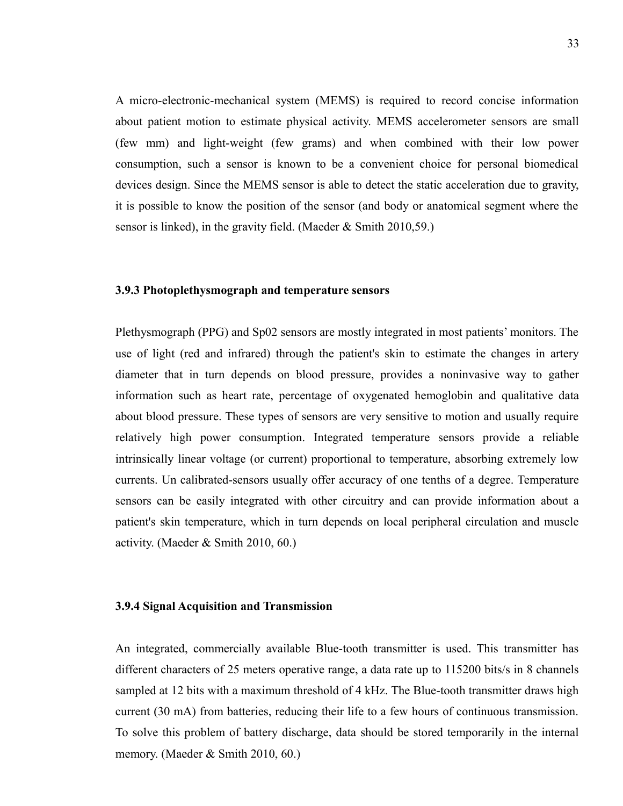A micro-electronic-mechanical system (MEMS) is required to record concise information about patient motion to estimate physical activity. MEMS accelerometer sensors are small (few mm) and light-weight (few grams) and when combined with their low power consumption, such a sensor is known to be a convenient choice for personal biomedical devices design. Since the MEMS sensor is able to detect the static acceleration due to gravity, it is possible to know the position of the sensor (and body or anatomical segment where the sensor is linked), in the gravity field. (Maeder  $\&$  Smith 2010,59.)

#### **3.9.3 Photoplethysmograph and temperature sensors**

Plethysmograph (PPG) and Sp02 sensors are mostly integrated in most patients' monitors. The use of light (red and infrared) through the patient's skin to estimate the changes in artery diameter that in turn depends on blood pressure, provides a noninvasive way to gather information such as heart rate, percentage of oxygenated hemoglobin and qualitative data about blood pressure. These types of sensors are very sensitive to motion and usually require relatively high power consumption. Integrated temperature sensors provide a reliable intrinsically linear voltage (or current) proportional to temperature, absorbing extremely low currents. Un calibrated-sensors usually offer accuracy of one tenths of a degree. Temperature sensors can be easily integrated with other circuitry and can provide information about a patient's skin temperature, which in turn depends on local peripheral circulation and muscle activity. (Maeder & Smith 2010, 60.)

### **3.9.4 Signal Acquisition and Transmission**

An integrated, commercially available Blue-tooth transmitter is used. This transmitter has different characters of 25 meters operative range, a data rate up to 115200 bits/s in 8 channels sampled at 12 bits with a maximum threshold of 4 kHz. The Blue-tooth transmitter draws high current (30 mA) from batteries, reducing their life to a few hours of continuous transmission. To solve this problem of battery discharge, data should be stored temporarily in the internal memory. (Maeder & Smith 2010, 60.)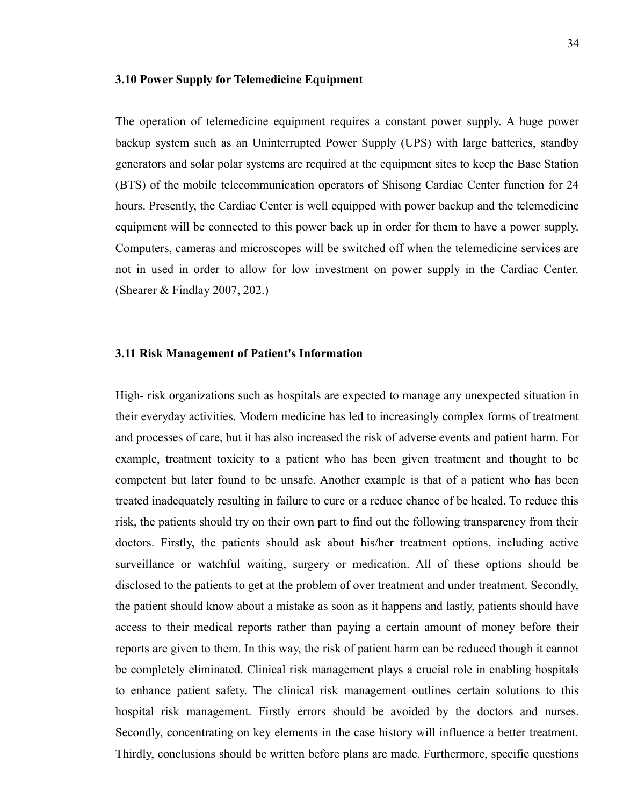### **3.10 Power Supply for Telemedicine Equipment**

The operation of telemedicine equipment requires a constant power supply. A huge power backup system such as an Uninterrupted Power Supply (UPS) with large batteries, standby generators and solar polar systems are required at the equipment sites to keep the Base Station (BTS) of the mobile telecommunication operators of Shisong Cardiac Center function for 24 hours. Presently, the Cardiac Center is well equipped with power backup and the telemedicine equipment will be connected to this power back up in order for them to have a power supply. Computers, cameras and microscopes will be switched off when the telemedicine services are not in used in order to allow for low investment on power supply in the Cardiac Center. (Shearer & Findlay 2007, 202.)

### **3.11 Risk Management of Patient's Information**

High- risk organizations such as hospitals are expected to manage any unexpected situation in their everyday activities. Modern medicine has led to increasingly complex forms of treatment and processes of care, but it has also increased the risk of adverse events and patient harm. For example, treatment toxicity to a patient who has been given treatment and thought to be competent but later found to be unsafe. Another example is that of a patient who has been treated inadequately resulting in failure to cure or a reduce chance of be healed. To reduce this risk, the patients should try on their own part to find out the following transparency from their doctors. Firstly, the patients should ask about his/her treatment options, including active surveillance or watchful waiting, surgery or medication. All of these options should be disclosed to the patients to get at the problem of over treatment and under treatment. Secondly, the patient should know about a mistake as soon as it happens and lastly, patients should have access to their medical reports rather than paying a certain amount of money before their reports are given to them. In this way, the risk of patient harm can be reduced though it cannot be completely eliminated. Clinical risk management plays a crucial role in enabling hospitals to enhance patient safety. The clinical risk management outlines certain solutions to this hospital risk management. Firstly errors should be avoided by the doctors and nurses. Secondly, concentrating on key elements in the case history will influence a better treatment. Thirdly, conclusions should be written before plans are made. Furthermore, specific questions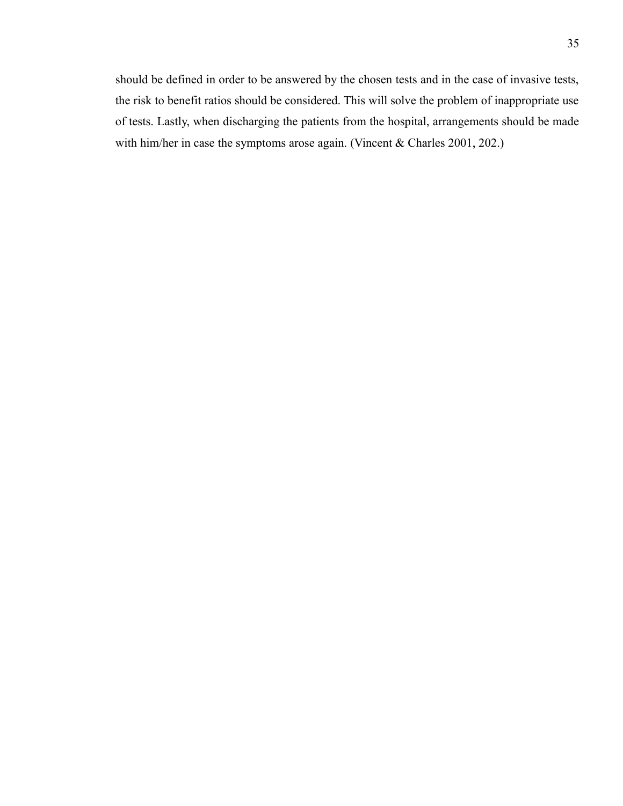should be defined in order to be answered by the chosen tests and in the case of invasive tests, the risk to benefit ratios should be considered. This will solve the problem of inappropriate use of tests. Lastly, when discharging the patients from the hospital, arrangements should be made with him/her in case the symptoms arose again. (Vincent & Charles 2001, 202.)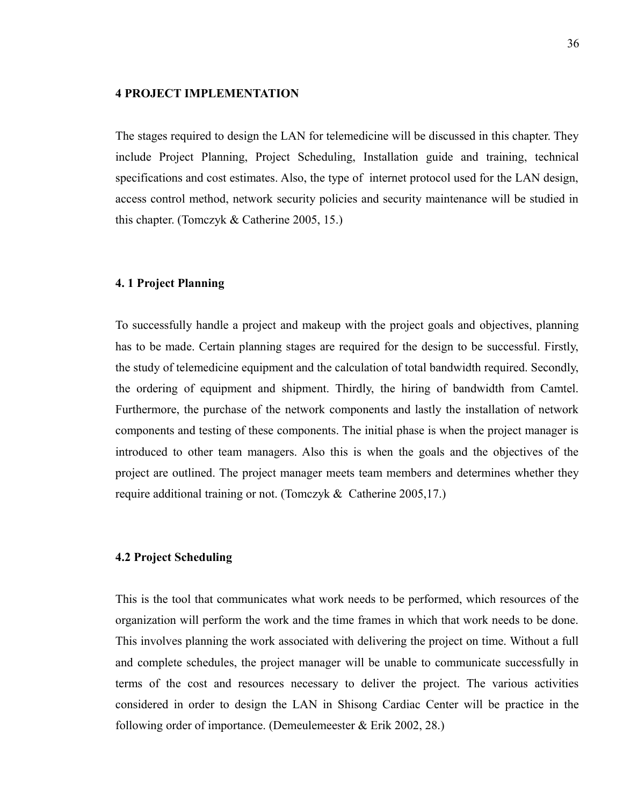#### **4 PROJECT IMPLEMENTATION**

The stages required to design the LAN for telemedicine will be discussed in this chapter. They include Project Planning, Project Scheduling, Installation guide and training, technical specifications and cost estimates. Also, the type of internet protocol used for the LAN design, access control method, network security policies and security maintenance will be studied in this chapter. (Tomczyk & Catherine 2005, 15.)

### **4. 1 Project Planning**

To successfully handle a project and makeup with the project goals and objectives, planning has to be made. Certain planning stages are required for the design to be successful. Firstly, the study of telemedicine equipment and the calculation of total bandwidth required. Secondly, the ordering of equipment and shipment. Thirdly, the hiring of bandwidth from Camtel. Furthermore, the purchase of the network components and lastly the installation of network components and testing of these components. The initial phase is when the project manager is introduced to other team managers. Also this is when the goals and the objectives of the project are outlined. The project manager meets team members and determines whether they require additional training or not. (Tomczyk & Catherine 2005,17.)

### **4.2 Project Scheduling**

This is the tool that communicates what work needs to be performed, which resources of the organization will perform the work and the time frames in which that work needs to be done. This involves planning the work associated with delivering the project on time. Without a full and complete schedules, the project manager will be unable to communicate successfully in terms of the cost and resources necessary to deliver the project. The various activities considered in order to design the LAN in Shisong Cardiac Center will be practice in the following order of importance. (Demeulemeester & Erik 2002, 28.)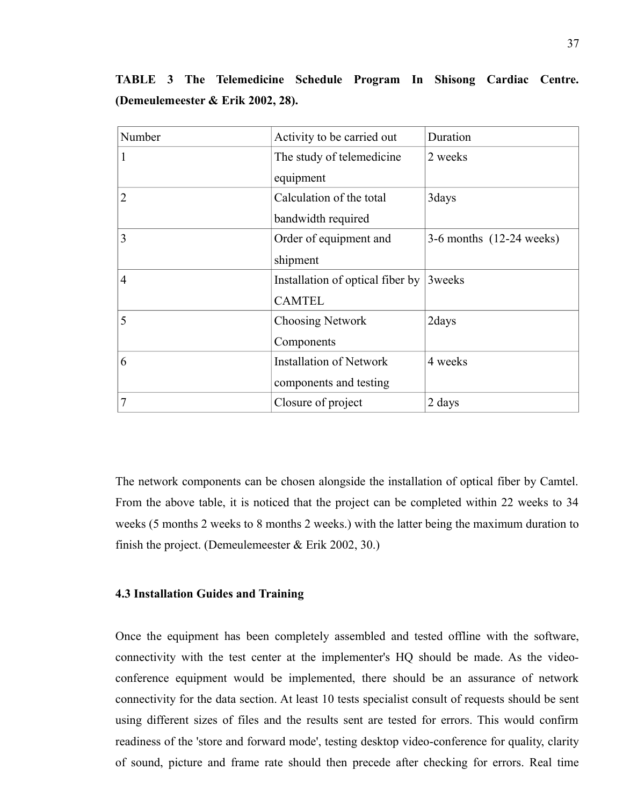| Number         | Activity to be carried out       | Duration                     |
|----------------|----------------------------------|------------------------------|
| 1              | The study of telemedicine        | 2 weeks                      |
|                | equipment                        |                              |
| $\overline{2}$ | Calculation of the total         | 3days                        |
|                | bandwidth required               |                              |
| 3              | Order of equipment and           | $3-6$ months $(12-24$ weeks) |
|                | shipment                         |                              |
| $\overline{4}$ | Installation of optical fiber by | 3weeks                       |
|                | <b>CAMTEL</b>                    |                              |
| 5              | Choosing Network                 | 2days                        |
|                | Components                       |                              |
| 6              | <b>Installation of Network</b>   | 4 weeks                      |
|                | components and testing           |                              |
| 7              | Closure of project               | 2 days                       |

**TABLE 3 The Telemedicine Schedule Program In Shisong Cardiac Centre. (Demeulemeester & Erik 2002, 28).**

The network components can be chosen alongside the installation of optical fiber by Camtel. From the above table, it is noticed that the project can be completed within 22 weeks to 34 weeks (5 months 2 weeks to 8 months 2 weeks.) with the latter being the maximum duration to finish the project. (Demeulemeester  $&$  Erik 2002, 30.)

### **4.3 Installation Guides and Training**

Once the equipment has been completely assembled and tested offline with the software, connectivity with the test center at the implementer's HQ should be made. As the videoconference equipment would be implemented, there should be an assurance of network connectivity for the data section. At least 10 tests specialist consult of requests should be sent using different sizes of files and the results sent are tested for errors. This would confirm readiness of the 'store and forward mode', testing desktop video-conference for quality, clarity of sound, picture and frame rate should then precede after checking for errors. Real time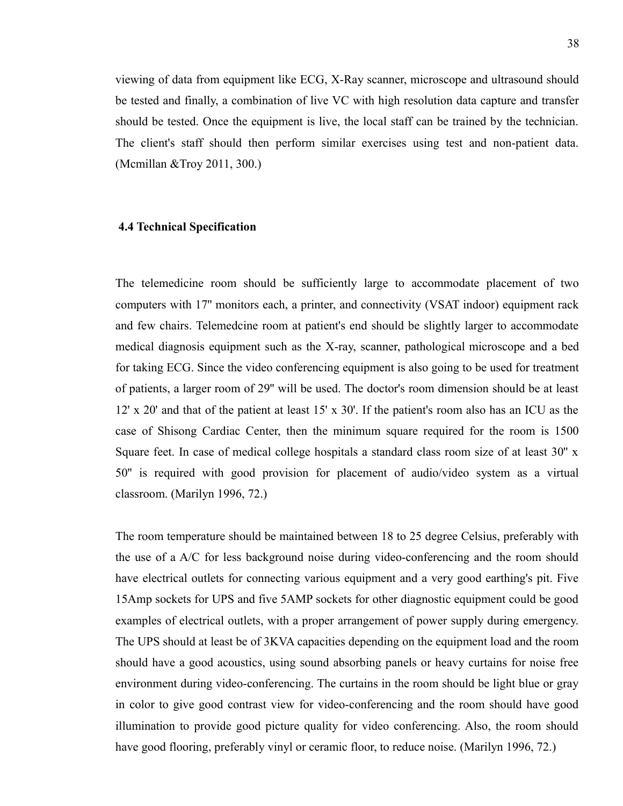viewing of data from equipment like ECG, X-Ray scanner, microscope and ultrasound should be tested and finally, a combination of live VC with high resolution data capture and transfer should be tested. Once the equipment is live, the local staff can be trained by the technician. The client's staff should then perform similar exercises using test and non-patient data. (Mcmillan &Troy 2011, 300.)

#### **4.4 Technical Specification**

The telemedicine room should be sufficiently large to accommodate placement of two computers with 17'' monitors each, a printer, and connectivity (VSAT indoor) equipment rack and few chairs. Telemedcine room at patient's end should be slightly larger to accommodate medical diagnosis equipment such as the X-ray, scanner, pathological microscope and a bed for taking ECG. Since the video conferencing equipment is also going to be used for treatment of patients, a larger room of 29'' will be used. The doctor's room dimension should be at least 12' x 20' and that of the patient at least 15' x 30'. If the patient's room also has an ICU as the case of Shisong Cardiac Center, then the minimum square required for the room is 1500 Square feet. In case of medical college hospitals a standard class room size of at least 30'' x 50'' is required with good provision for placement of audio/video system as a virtual classroom. (Marilyn 1996, 72.)

The room temperature should be maintained between 18 to 25 degree Celsius, preferably with the use of a A/C for less background noise during video-conferencing and the room should have electrical outlets for connecting various equipment and a very good earthing's pit. Five 15Amp sockets for UPS and five 5AMP sockets for other diagnostic equipment could be good examples of electrical outlets, with a proper arrangement of power supply during emergency. The UPS should at least be of 3KVA capacities depending on the equipment load and the room should have a good acoustics, using sound absorbing panels or heavy curtains for noise free environment during video-conferencing. The curtains in the room should be light blue or gray in color to give good contrast view for video-conferencing and the room should have good illumination to provide good picture quality for video conferencing. Also, the room should have good flooring, preferably vinyl or ceramic floor, to reduce noise. (Marilyn 1996, 72.)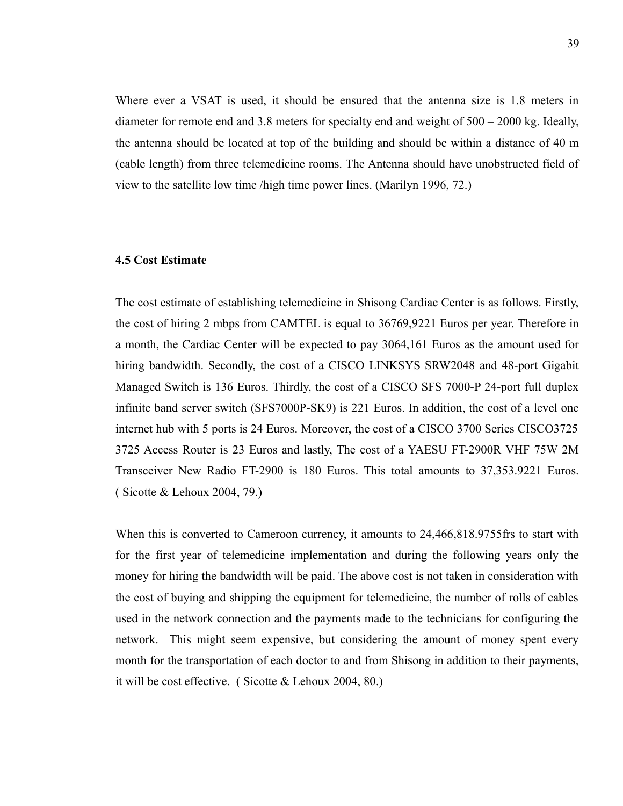Where ever a VSAT is used, it should be ensured that the antenna size is 1.8 meters in diameter for remote end and 3.8 meters for specialty end and weight of 500 – 2000 kg. Ideally, the antenna should be located at top of the building and should be within a distance of 40 m (cable length) from three telemedicine rooms. The Antenna should have unobstructed field of view to the satellite low time /high time power lines. (Marilyn 1996, 72.)

### **4.5 Cost Estimate**

The cost estimate of establishing telemedicine in Shisong Cardiac Center is as follows. Firstly, the cost of hiring 2 mbps from CAMTEL is equal to 36769,9221 Euros per year. Therefore in a month, the Cardiac Center will be expected to pay 3064,161 Euros as the amount used for hiring bandwidth. Secondly, the cost of a CISCO LINKSYS SRW2048 and 48-port Gigabit Managed Switch is 136 Euros. Thirdly, the cost of a CISCO SFS 7000-P 24-port full duplex infinite band server switch (SFS7000P-SK9) is 221 Euros. In addition, the cost of a level one internet hub with 5 ports is 24 Euros. Moreover, the cost of a CISCO 3700 Series CISCO3725 3725 Access Router is 23 Euros and lastly, The cost of a YAESU FT-2900R VHF 75W 2M Transceiver New Radio FT-2900 is 180 Euros. This total amounts to 37,353.9221 Euros. ( Sicotte & Lehoux 2004, 79.)

When this is converted to Cameroon currency, it amounts to 24,466,818.9755frs to start with for the first year of telemedicine implementation and during the following years only the money for hiring the bandwidth will be paid. The above cost is not taken in consideration with the cost of buying and shipping the equipment for telemedicine, the number of rolls of cables used in the network connection and the payments made to the technicians for configuring the network. This might seem expensive, but considering the amount of money spent every month for the transportation of each doctor to and from Shisong in addition to their payments, it will be cost effective. ( Sicotte & Lehoux 2004, 80.)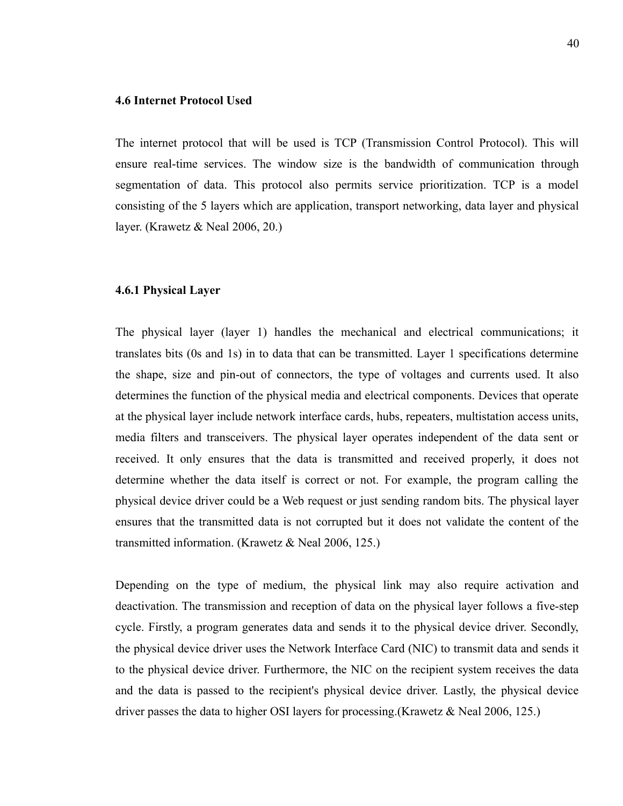### **4.6 Internet Protocol Used**

The internet protocol that will be used is TCP (Transmission Control Protocol). This will ensure real-time services. The window size is the bandwidth of communication through segmentation of data. This protocol also permits service prioritization. TCP is a model consisting of the 5 layers which are application, transport networking, data layer and physical layer. (Krawetz & Neal 2006, 20.)

#### **4.6.1 Physical Layer**

The physical layer (layer 1) handles the mechanical and electrical communications; it translates bits (0s and 1s) in to data that can be transmitted. Layer 1 specifications determine the shape, size and pin-out of connectors, the type of voltages and currents used. It also determines the function of the physical media and electrical components. Devices that operate at the physical layer include network interface cards, hubs, repeaters, multistation access units, media filters and transceivers. The physical layer operates independent of the data sent or received. It only ensures that the data is transmitted and received properly, it does not determine whether the data itself is correct or not. For example, the program calling the physical device driver could be a Web request or just sending random bits. The physical layer ensures that the transmitted data is not corrupted but it does not validate the content of the transmitted information. (Krawetz & Neal 2006, 125.)

Depending on the type of medium, the physical link may also require activation and deactivation. The transmission and reception of data on the physical layer follows a five-step cycle. Firstly, a program generates data and sends it to the physical device driver. Secondly, the physical device driver uses the Network Interface Card (NIC) to transmit data and sends it to the physical device driver. Furthermore, the NIC on the recipient system receives the data and the data is passed to the recipient's physical device driver. Lastly, the physical device driver passes the data to higher OSI layers for processing.(Krawetz & Neal 2006, 125.)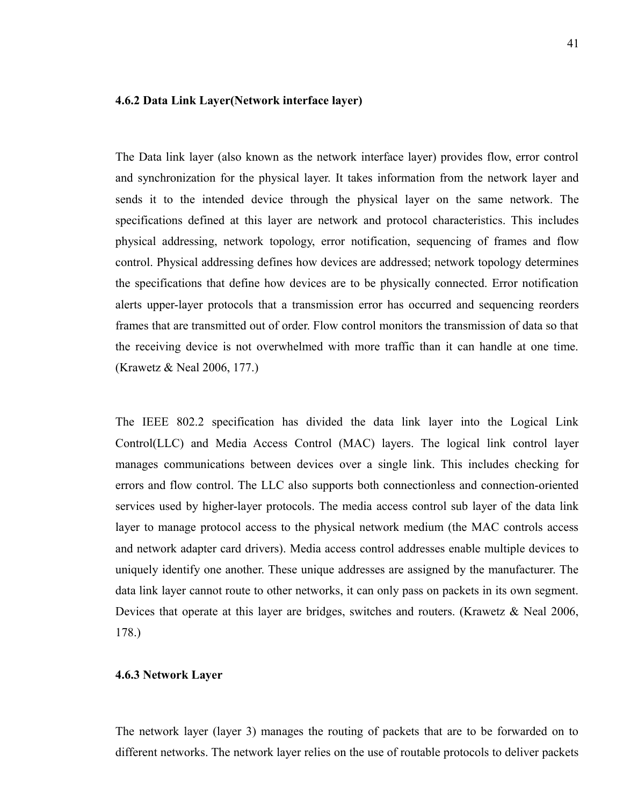### **4.6.2 Data Link Layer(Network interface layer)**

The Data link layer (also known as the network interface layer) provides flow, error control and synchronization for the physical layer. It takes information from the network layer and sends it to the intended device through the physical layer on the same network. The specifications defined at this layer are network and protocol characteristics. This includes physical addressing, network topology, error notification, sequencing of frames and flow control. Physical addressing defines how devices are addressed; network topology determines the specifications that define how devices are to be physically connected. Error notification alerts upper-layer protocols that a transmission error has occurred and sequencing reorders frames that are transmitted out of order. Flow control monitors the transmission of data so that the receiving device is not overwhelmed with more traffic than it can handle at one time. (Krawetz & Neal 2006, 177.)

The IEEE 802.2 specification has divided the data link layer into the Logical Link Control(LLC) and Media Access Control (MAC) layers. The logical link control layer manages communications between devices over a single link. This includes checking for errors and flow control. The LLC also supports both connectionless and connection-oriented services used by higher-layer protocols. The media access control sub layer of the data link layer to manage protocol access to the physical network medium (the MAC controls access and network adapter card drivers). Media access control addresses enable multiple devices to uniquely identify one another. These unique addresses are assigned by the manufacturer. The data link layer cannot route to other networks, it can only pass on packets in its own segment. Devices that operate at this layer are bridges, switches and routers. (Krawetz & Neal 2006, 178.)

#### **4.6.3 Network Layer**

The network layer (layer 3) manages the routing of packets that are to be forwarded on to different networks. The network layer relies on the use of routable protocols to deliver packets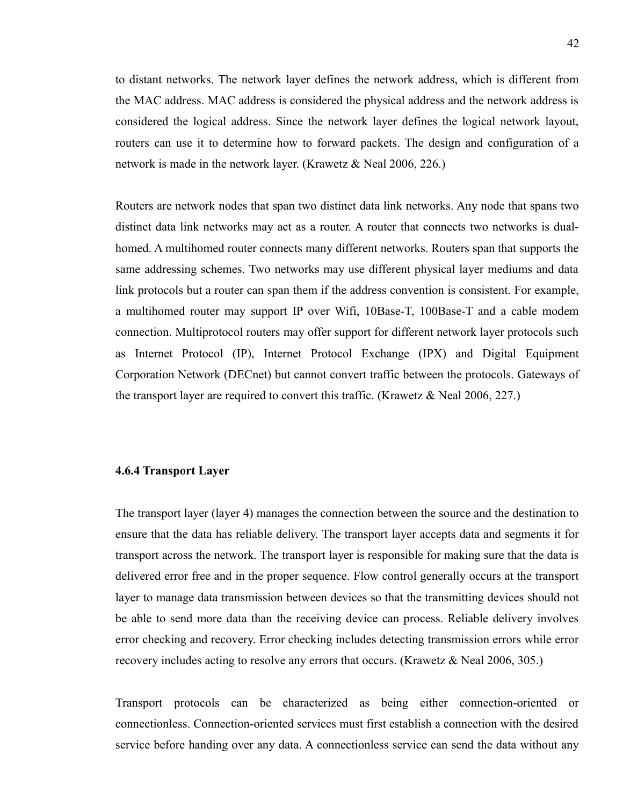to distant networks. The network layer defines the network address, which is different from the MAC address. MAC address is considered the physical address and the network address is considered the logical address. Since the network layer defines the logical network layout, routers can use it to determine how to forward packets. The design and configuration of a network is made in the network layer. (Krawetz & Neal 2006, 226.)

Routers are network nodes that span two distinct data link networks. Any node that spans two distinct data link networks may act as a router. A router that connects two networks is dualhomed. A multihomed router connects many different networks. Routers span that supports the same addressing schemes. Two networks may use different physical layer mediums and data link protocols but a router can span them if the address convention is consistent. For example, a multihomed router may support IP over Wifi, 10Base-T, 100Base-T and a cable modem connection. Multiprotocol routers may offer support for different network layer protocols such as Internet Protocol (IP), Internet Protocol Exchange (IPX) and Digital Equipment Corporation Network (DECnet) but cannot convert traffic between the protocols. Gateways of the transport layer are required to convert this traffic. (Krawetz & Neal 2006, 227.)

### **4.6.4 Transport Layer**

The transport layer (layer 4) manages the connection between the source and the destination to ensure that the data has reliable delivery. The transport layer accepts data and segments it for transport across the network. The transport layer is responsible for making sure that the data is delivered error free and in the proper sequence. Flow control generally occurs at the transport layer to manage data transmission between devices so that the transmitting devices should not be able to send more data than the receiving device can process. Reliable delivery involves error checking and recovery. Error checking includes detecting transmission errors while error recovery includes acting to resolve any errors that occurs. (Krawetz & Neal 2006, 305.)

Transport protocols can be characterized as being either connection-oriented or connectionless. Connection-oriented services must first establish a connection with the desired service before handing over any data. A connectionless service can send the data without any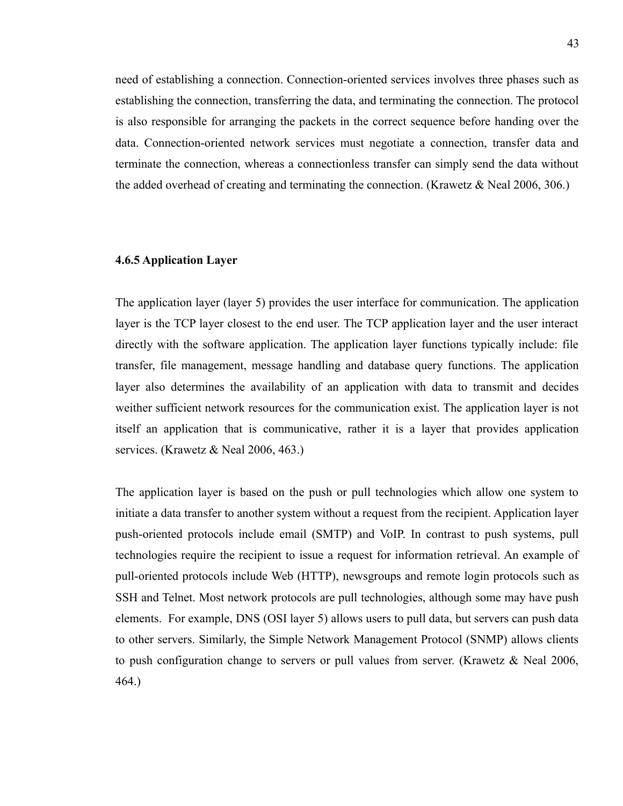need of establishing a connection. Connection-oriented services involves three phases such as establishing the connection, transferring the data, and terminating the connection. The protocol is also responsible for arranging the packets in the correct sequence before handing over the data. Connection-oriented network services must negotiate a connection, transfer data and terminate the connection, whereas a connectionless transfer can simply send the data without the added overhead of creating and terminating the connection. (Krawetz & Neal 2006, 306.)

#### **4.6.5 Application Layer**

The application layer (layer 5) provides the user interface for communication. The application layer is the TCP layer closest to the end user. The TCP application layer and the user interact directly with the software application. The application layer functions typically include: file transfer, file management, message handling and database query functions. The application layer also determines the availability of an application with data to transmit and decides weither sufficient network resources for the communication exist. The application layer is not itself an application that is communicative, rather it is a layer that provides application services. (Krawetz & Neal 2006, 463.)

The application layer is based on the push or pull technologies which allow one system to initiate a data transfer to another system without a request from the recipient. Application layer push-oriented protocols include email (SMTP) and VoIP. In contrast to push systems, pull technologies require the recipient to issue a request for information retrieval. An example of pull-oriented protocols include Web (HTTP), newsgroups and remote login protocols such as SSH and Telnet. Most network protocols are pull technologies, although some may have push elements. For example, DNS (OSI layer 5) allows users to pull data, but servers can push data to other servers. Similarly, the Simple Network Management Protocol (SNMP) allows clients to push configuration change to servers or pull values from server. (Krawetz & Neal 2006, 464.)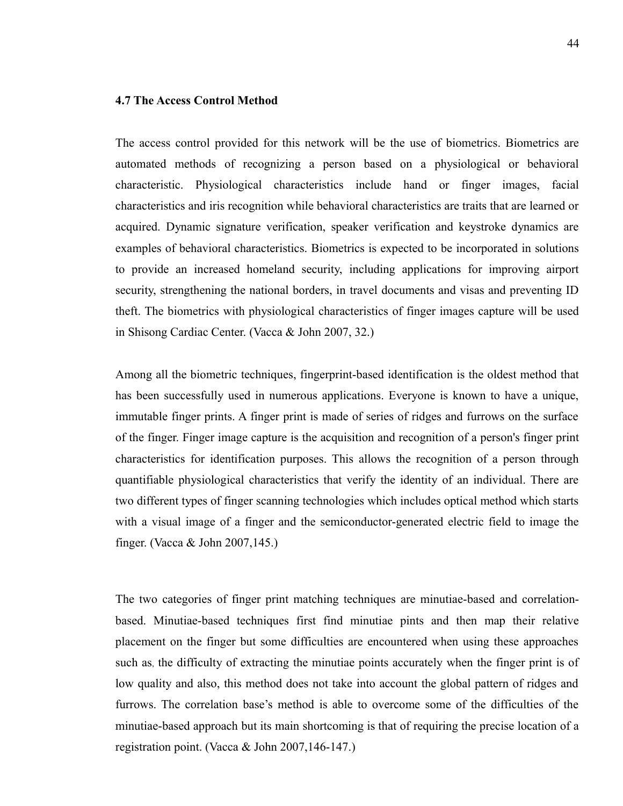### **4.7 The Access Control Method**

The access control provided for this network will be the use of biometrics. Biometrics are automated methods of recognizing a person based on a physiological or behavioral characteristic. Physiological characteristics include hand or finger images, facial characteristics and iris recognition while behavioral characteristics are traits that are learned or acquired. Dynamic signature verification, speaker verification and keystroke dynamics are examples of behavioral characteristics. Biometrics is expected to be incorporated in solutions to provide an increased homeland security, including applications for improving airport security, strengthening the national borders, in travel documents and visas and preventing ID theft. The biometrics with physiological characteristics of finger images capture will be used in Shisong Cardiac Center. (Vacca & John 2007, 32.)

Among all the biometric techniques, fingerprint-based identification is the oldest method that has been successfully used in numerous applications. Everyone is known to have a unique, immutable finger prints. A finger print is made of series of ridges and furrows on the surface of the finger. Finger image capture is the acquisition and recognition of a person's finger print characteristics for identification purposes. This allows the recognition of a person through quantifiable physiological characteristics that verify the identity of an individual. There are two different types of finger scanning technologies which includes optical method which starts with a visual image of a finger and the semiconductor-generated electric field to image the finger. (Vacca & John 2007,145.)

The two categories of finger print matching techniques are minutiae-based and correlationbased. Minutiae-based techniques first find minutiae pints and then map their relative placement on the finger but some difficulties are encountered when using these approaches such as, the difficulty of extracting the minutiae points accurately when the finger print is of low quality and also, this method does not take into account the global pattern of ridges and furrows. The correlation base's method is able to overcome some of the difficulties of the minutiae-based approach but its main shortcoming is that of requiring the precise location of a registration point. (Vacca & John 2007,146-147.)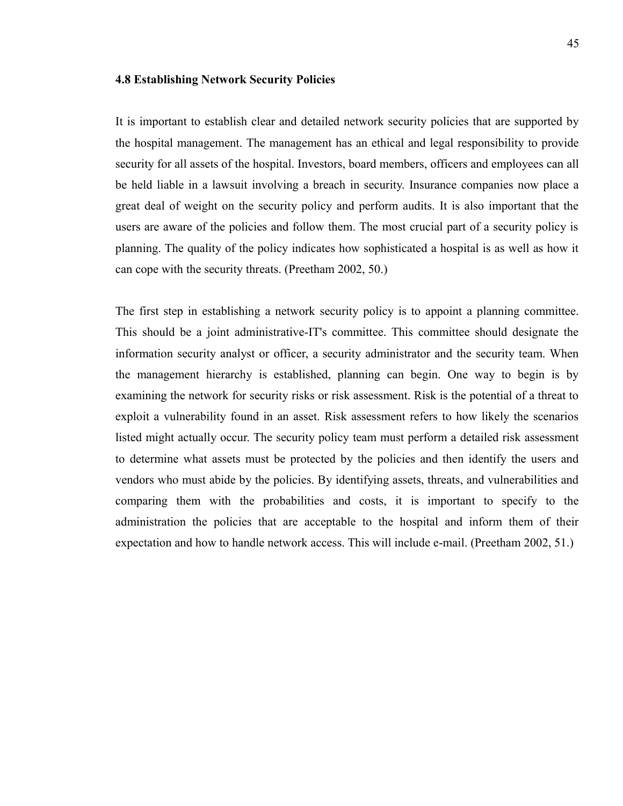### **4.8 Establishing Network Security Policies**

It is important to establish clear and detailed network security policies that are supported by the hospital management. The management has an ethical and legal responsibility to provide security for all assets of the hospital. Investors, board members, officers and employees can all be held liable in a lawsuit involving a breach in security. Insurance companies now place a great deal of weight on the security policy and perform audits. It is also important that the users are aware of the policies and follow them. The most crucial part of a security policy is planning. The quality of the policy indicates how sophisticated a hospital is as well as how it can cope with the security threats. (Preetham 2002, 50.)

The first step in establishing a network security policy is to appoint a planning committee. This should be a joint administrative-IT's committee. This committee should designate the information security analyst or officer, a security administrator and the security team. When the management hierarchy is established, planning can begin. One way to begin is by examining the network for security risks or risk assessment. Risk is the potential of a threat to exploit a vulnerability found in an asset. Risk assessment refers to how likely the scenarios listed might actually occur. The security policy team must perform a detailed risk assessment to determine what assets must be protected by the policies and then identify the users and vendors who must abide by the policies. By identifying assets, threats, and vulnerabilities and comparing them with the probabilities and costs, it is important to specify to the administration the policies that are acceptable to the hospital and inform them of their expectation and how to handle network access. This will include e-mail. (Preetham 2002, 51.)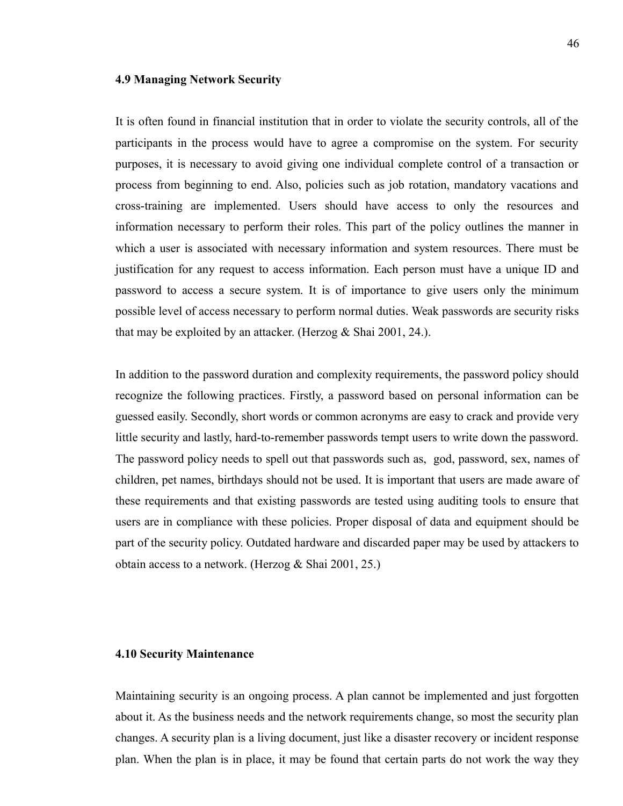### **4.9 Managing Network Security**

It is often found in financial institution that in order to violate the security controls, all of the participants in the process would have to agree a compromise on the system. For security purposes, it is necessary to avoid giving one individual complete control of a transaction or process from beginning to end. Also, policies such as job rotation, mandatory vacations and cross-training are implemented. Users should have access to only the resources and information necessary to perform their roles. This part of the policy outlines the manner in which a user is associated with necessary information and system resources. There must be justification for any request to access information. Each person must have a unique ID and password to access a secure system. It is of importance to give users only the minimum possible level of access necessary to perform normal duties. Weak passwords are security risks that may be exploited by an attacker. (Herzog  $\&$  Shai 2001, 24.).

In addition to the password duration and complexity requirements, the password policy should recognize the following practices. Firstly, a password based on personal information can be guessed easily. Secondly, short words or common acronyms are easy to crack and provide very little security and lastly, hard-to-remember passwords tempt users to write down the password. The password policy needs to spell out that passwords such as, god, password, sex, names of children, pet names, birthdays should not be used. It is important that users are made aware of these requirements and that existing passwords are tested using auditing tools to ensure that users are in compliance with these policies. Proper disposal of data and equipment should be part of the security policy. Outdated hardware and discarded paper may be used by attackers to obtain access to a network. (Herzog & Shai 2001, 25.)

### **4.10 Security Maintenance**

Maintaining security is an ongoing process. A plan cannot be implemented and just forgotten about it. As the business needs and the network requirements change, so most the security plan changes. A security plan is a living document, just like a disaster recovery or incident response plan. When the plan is in place, it may be found that certain parts do not work the way they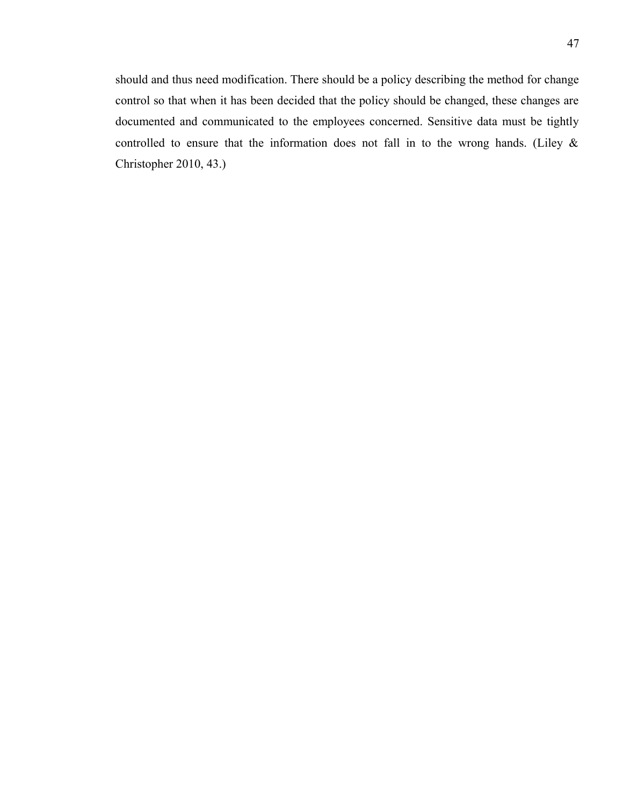should and thus need modification. There should be a policy describing the method for change control so that when it has been decided that the policy should be changed, these changes are documented and communicated to the employees concerned. Sensitive data must be tightly controlled to ensure that the information does not fall in to the wrong hands. (Liley  $\&$ Christopher 2010, 43.)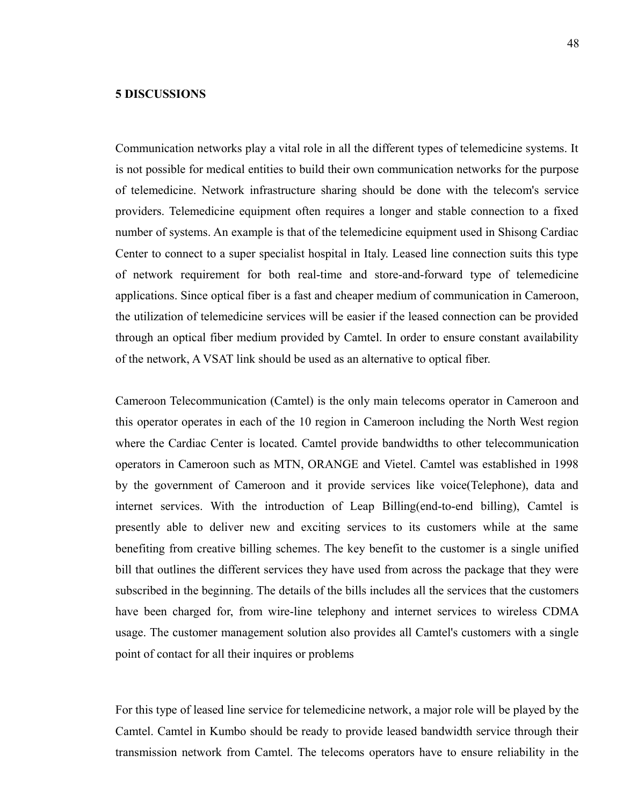### **5 DISCUSSIONS**

Communication networks play a vital role in all the different types of telemedicine systems. It is not possible for medical entities to build their own communication networks for the purpose of telemedicine. Network infrastructure sharing should be done with the telecom's service providers. Telemedicine equipment often requires a longer and stable connection to a fixed number of systems. An example is that of the telemedicine equipment used in Shisong Cardiac Center to connect to a super specialist hospital in Italy. Leased line connection suits this type of network requirement for both real-time and store-and-forward type of telemedicine applications. Since optical fiber is a fast and cheaper medium of communication in Cameroon, the utilization of telemedicine services will be easier if the leased connection can be provided through an optical fiber medium provided by Camtel. In order to ensure constant availability of the network, A VSAT link should be used as an alternative to optical fiber.

Cameroon Telecommunication (Camtel) is the only main telecoms operator in Cameroon and this operator operates in each of the 10 region in Cameroon including the North West region where the Cardiac Center is located. Camtel provide bandwidths to other telecommunication operators in Cameroon such as MTN, ORANGE and Vietel. Camtel was established in 1998 by the government of Cameroon and it provide services like voice(Telephone), data and internet services. With the introduction of Leap Billing(end-to-end billing), Camtel is presently able to deliver new and exciting services to its customers while at the same benefiting from creative billing schemes. The key benefit to the customer is a single unified bill that outlines the different services they have used from across the package that they were subscribed in the beginning. The details of the bills includes all the services that the customers have been charged for, from wire-line telephony and internet services to wireless CDMA usage. The customer management solution also provides all Camtel's customers with a single point of contact for all their inquires or problems

For this type of leased line service for telemedicine network, a major role will be played by the Camtel. Camtel in Kumbo should be ready to provide leased bandwidth service through their transmission network from Camtel. The telecoms operators have to ensure reliability in the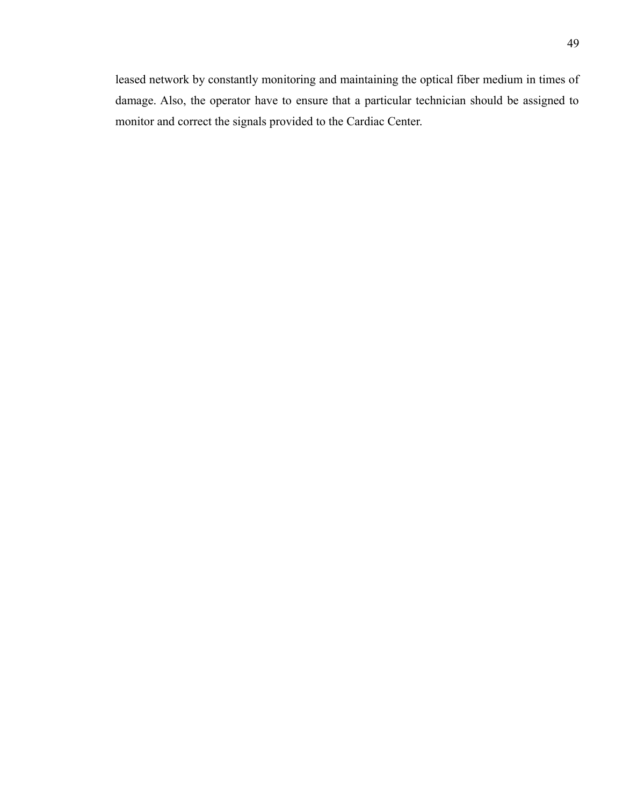leased network by constantly monitoring and maintaining the optical fiber medium in times of damage. Also, the operator have to ensure that a particular technician should be assigned to monitor and correct the signals provided to the Cardiac Center.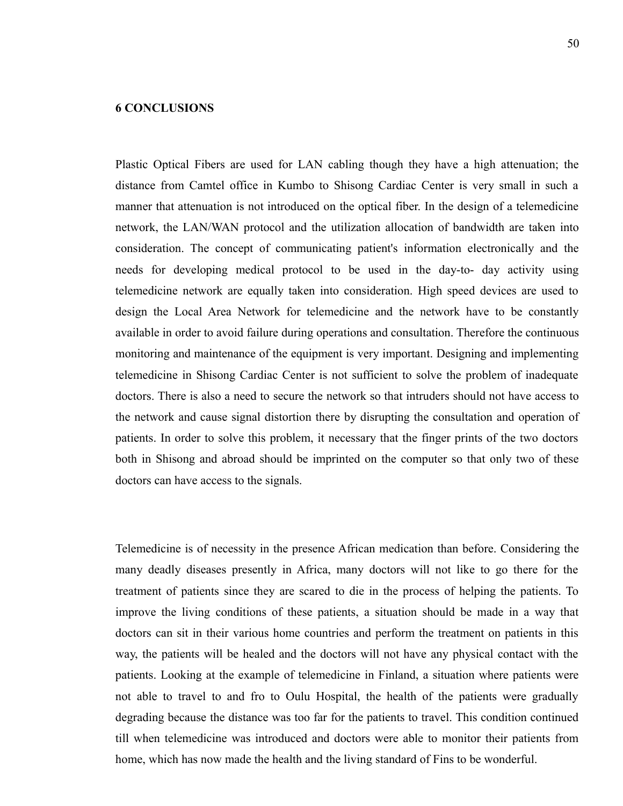### **6 CONCLUSIONS**

Plastic Optical Fibers are used for LAN cabling though they have a high attenuation; the distance from Camtel office in Kumbo to Shisong Cardiac Center is very small in such a manner that attenuation is not introduced on the optical fiber. In the design of a telemedicine network, the LAN/WAN protocol and the utilization allocation of bandwidth are taken into consideration. The concept of communicating patient's information electronically and the needs for developing medical protocol to be used in the day-to- day activity using telemedicine network are equally taken into consideration. High speed devices are used to design the Local Area Network for telemedicine and the network have to be constantly available in order to avoid failure during operations and consultation. Therefore the continuous monitoring and maintenance of the equipment is very important. Designing and implementing telemedicine in Shisong Cardiac Center is not sufficient to solve the problem of inadequate doctors. There is also a need to secure the network so that intruders should not have access to the network and cause signal distortion there by disrupting the consultation and operation of patients. In order to solve this problem, it necessary that the finger prints of the two doctors both in Shisong and abroad should be imprinted on the computer so that only two of these doctors can have access to the signals.

Telemedicine is of necessity in the presence African medication than before. Considering the many deadly diseases presently in Africa, many doctors will not like to go there for the treatment of patients since they are scared to die in the process of helping the patients. To improve the living conditions of these patients, a situation should be made in a way that doctors can sit in their various home countries and perform the treatment on patients in this way, the patients will be healed and the doctors will not have any physical contact with the patients. Looking at the example of telemedicine in Finland, a situation where patients were not able to travel to and fro to Oulu Hospital, the health of the patients were gradually degrading because the distance was too far for the patients to travel. This condition continued till when telemedicine was introduced and doctors were able to monitor their patients from home, which has now made the health and the living standard of Fins to be wonderful.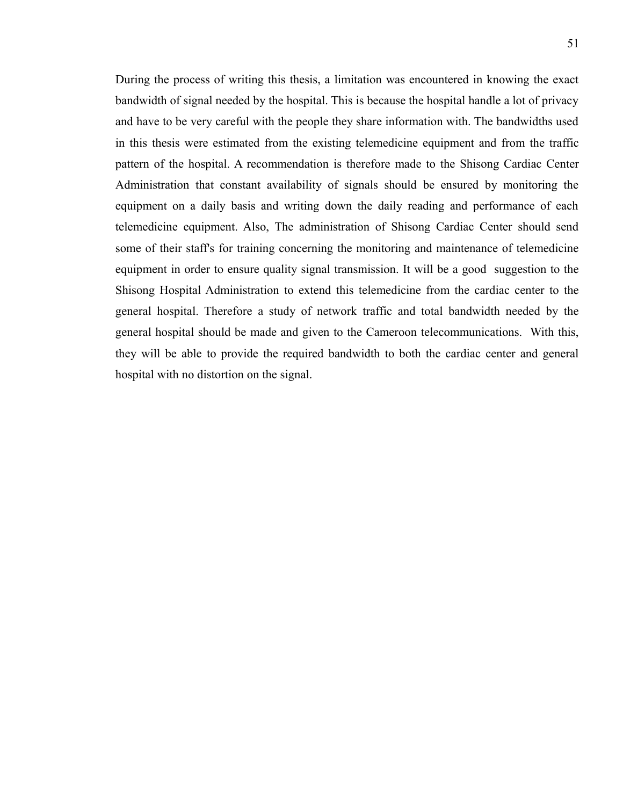During the process of writing this thesis, a limitation was encountered in knowing the exact bandwidth of signal needed by the hospital. This is because the hospital handle a lot of privacy and have to be very careful with the people they share information with. The bandwidths used in this thesis were estimated from the existing telemedicine equipment and from the traffic pattern of the hospital. A recommendation is therefore made to the Shisong Cardiac Center Administration that constant availability of signals should be ensured by monitoring the equipment on a daily basis and writing down the daily reading and performance of each telemedicine equipment. Also, The administration of Shisong Cardiac Center should send some of their staff's for training concerning the monitoring and maintenance of telemedicine equipment in order to ensure quality signal transmission. It will be a good suggestion to the Shisong Hospital Administration to extend this telemedicine from the cardiac center to the general hospital. Therefore a study of network traffic and total bandwidth needed by the general hospital should be made and given to the Cameroon telecommunications. With this, they will be able to provide the required bandwidth to both the cardiac center and general hospital with no distortion on the signal.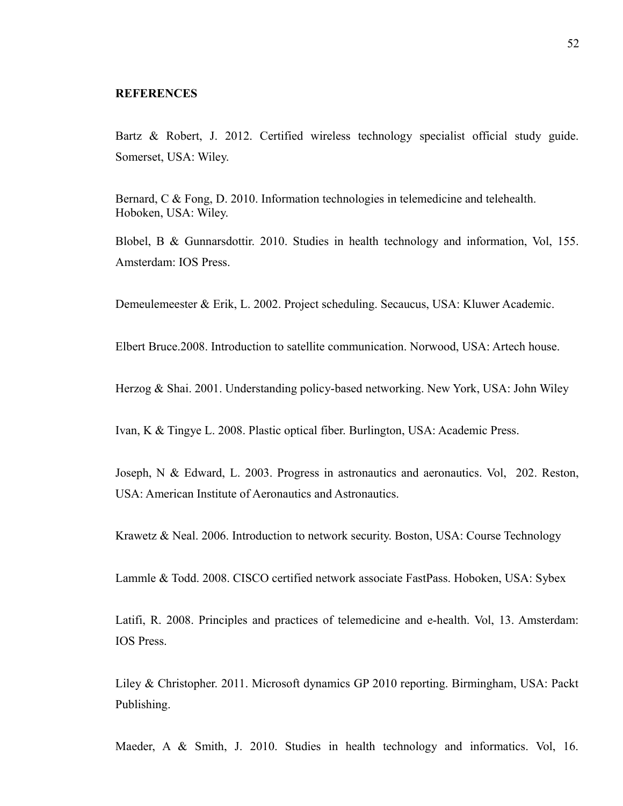#### **REFERENCES**

Bartz & Robert, J. 2012. Certified wireless technology specialist official study guide. Somerset, USA: Wiley.

Bernard, C & Fong, D. 2010. Information technologies in telemedicine and telehealth. Hoboken, USA: Wiley.

Blobel, B & Gunnarsdottir. 2010. Studies in health technology and information, Vol, 155. Amsterdam: IOS Press.

Demeulemeester & Erik, L. 2002. Project scheduling. Secaucus, USA: Kluwer Academic.

Elbert Bruce.2008. Introduction to satellite communication. Norwood, USA: Artech house.

Herzog & Shai. 2001. Understanding policy-based networking. New York, USA: John Wiley

Ivan, K & Tingye L. 2008. Plastic optical fiber. Burlington, USA: Academic Press.

Joseph, N & Edward, L. 2003. Progress in astronautics and aeronautics. Vol, 202. Reston, USA: American Institute of Aeronautics and Astronautics.

Krawetz & Neal. 2006. Introduction to network security. Boston, USA: Course Technology

Lammle & Todd. 2008. CISCO certified network associate FastPass. Hoboken, USA: Sybex

Latifi, R. 2008. Principles and practices of telemedicine and e-health. Vol, 13. Amsterdam: IOS Press.

Liley & Christopher. 2011. Microsoft dynamics GP 2010 reporting. Birmingham, USA: Packt Publishing.

Maeder, A & Smith, J. 2010. Studies in health technology and informatics. Vol, 16.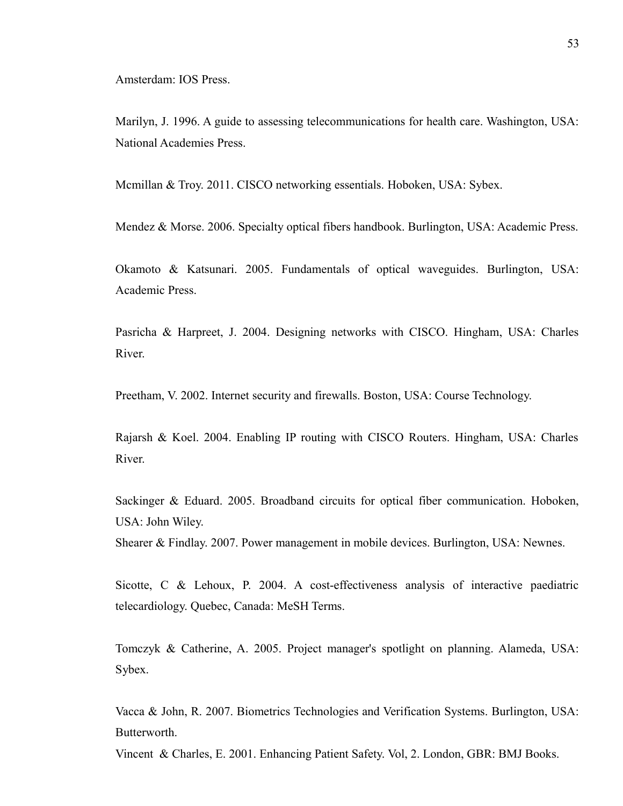Amsterdam: IOS Press.

Marilyn, J. 1996. A guide to assessing telecommunications for health care. Washington, USA: National Academies Press.

Mcmillan & Troy. 2011. CISCO networking essentials. Hoboken, USA: Sybex.

Mendez & Morse. 2006. Specialty optical fibers handbook. Burlington, USA: Academic Press.

Okamoto & Katsunari. 2005. Fundamentals of optical waveguides. Burlington, USA: Academic Press.

Pasricha & Harpreet, J. 2004. Designing networks with CISCO. Hingham, USA: Charles River.

Preetham, V. 2002. Internet security and firewalls. Boston, USA: Course Technology.

Rajarsh & Koel. 2004. Enabling IP routing with CISCO Routers. Hingham, USA: Charles River.

Sackinger & Eduard. 2005. Broadband circuits for optical fiber communication. Hoboken, USA: John Wiley.

Shearer & Findlay. 2007. Power management in mobile devices. Burlington, USA: Newnes.

Sicotte, C & Lehoux, P. 2004. A cost-effectiveness analysis of interactive paediatric telecardiology. Quebec, Canada: MeSH Terms.

Tomczyk & Catherine, A. 2005. Project manager's spotlight on planning. Alameda, USA: Sybex.

Vacca & John, R. 2007. Biometrics Technologies and Verification Systems. Burlington, USA: Butterworth.

Vincent & Charles, E. 2001. Enhancing Patient Safety. Vol, 2. London, GBR: BMJ Books.